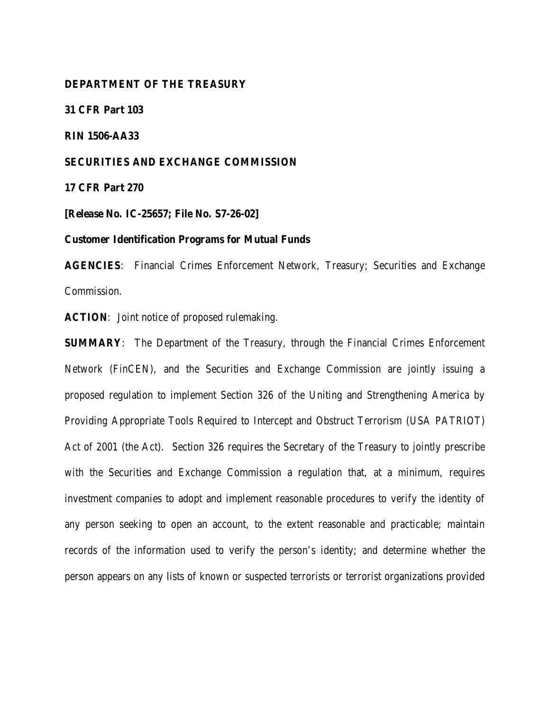## **DEPARTMENT OF THE TREASURY**

**31 CFR Part 103**

**RIN 1506-AA33**

#### **SECURITIES AND EXCHANGE COMMISSION**

**17 CFR Part 270**

**[Release No. IC-25657; File No. S7-26-02]**

#### **Customer Identification Programs for Mutual Funds**

**AGENCIES**: Financial Crimes Enforcement Network, Treasury; Securities and Exchange Commission.

**ACTION**: Joint notice of proposed rulemaking.

**SUMMARY:** The Department of the Treasury, through the Financial Crimes Enforcement Network (FinCEN), and the Securities and Exchange Commission are jointly issuing a proposed regulation to implement Section 326 of the Uniting and Strengthening America by Providing Appropriate Tools Required to Intercept and Obstruct Terrorism (USA PATRIOT) Act of 2001 (the Act). Section 326 requires the Secretary of the Treasury to jointly prescribe with the Securities and Exchange Commission a regulation that, at a minimum, requires investment companies to adopt and implement reasonable procedures to verify the identity of any person seeking to open an account, to the extent reasonable and practicable; maintain records of the information used to verify the person's identity; and determine whether the person appears on any lists of known or suspected terrorists or terrorist organizations provided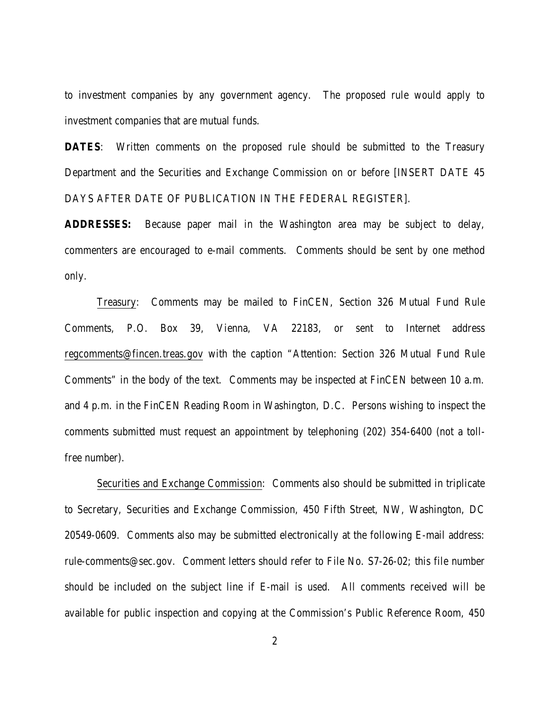to investment companies by any government agency. The proposed rule would apply to investment companies that are mutual funds.

**DATES:** Written comments on the proposed rule should be submitted to the Treasury Department and the Securities and Exchange Commission on or before [INSERT DATE 45 DAYS AFTER DATE OF PUBLICATION IN THE FEDERAL REGISTER].

**ADDRESSES:** Because paper mail in the Washington area may be subject to delay, commenters are encouraged to e-mail comments. Comments should be sent by one method only.

Treasury: Comments may be mailed to FinCEN, Section 326 Mutual Fund Rule Comments, P.O. Box 39, Vienna, VA 22183, or sent to Internet address regcomments@fincen.treas.gov with the caption "Attention: Section 326 Mutual Fund Rule Comments" in the body of the text. Comments may be inspected at FinCEN between 10 a.m. and 4 p.m. in the FinCEN Reading Room in Washington, D.C. Persons wishing to inspect the comments submitted must request an appointment by telephoning (202) 354-6400 (not a tollfree number).

Securities and Exchange Commission: Comments also should be submitted in triplicate to Secretary, Securities and Exchange Commission, 450 Fifth Street, NW, Washington, DC 20549-0609. Comments also may be submitted electronically at the following E-mail address: rule-comments@sec.gov. Comment letters should refer to File No. S7-26-02; this file number should be included on the subject line if E-mail is used. All comments received will be available for public inspection and copying at the Commission's Public Reference Room, 450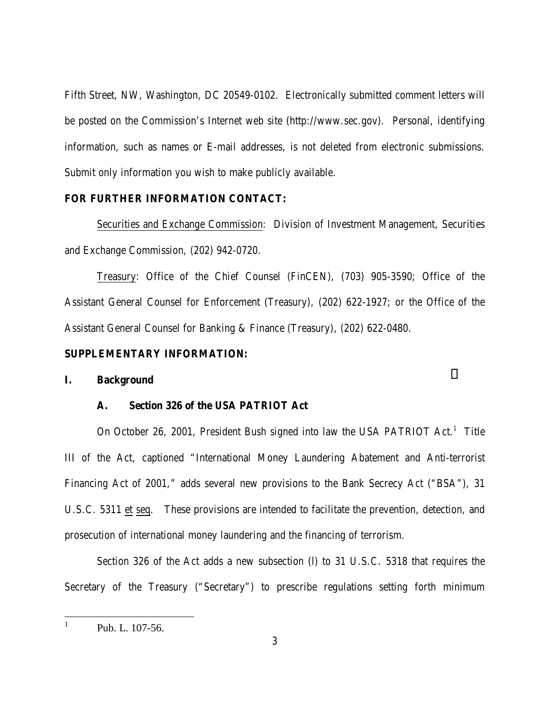Fifth Street, NW, Washington, DC 20549-0102. Electronically submitted comment letters will be posted on the Commission's Internet web site (http://www.sec.gov). Personal, identifying information, such as names or E-mail addresses, is not deleted from electronic submissions. Submit only information you wish to make publicly available.

## **FOR FURTHER INFORMATION CONTACT:**

Securities and Exchange Commission: Division of Investment Management, Securities and Exchange Commission, (202) 942-0720.

Treasury: Office of the Chief Counsel (FinCEN), (703) 905-3590; Office of the Assistant General Counsel for Enforcement (Treasury), (202) 622-1927; or the Office of the Assistant General Counsel for Banking & Finance (Treasury), (202) 622-0480.

#### **SUPPLEMENTARY INFORMATION:**

#### **I. Background**

## **A. Section 326 of the USA PATRIOT Act**

On October 26, 2001, President Bush signed into law the USA PATRIOT Act.<sup>1</sup> Title III of the Act, captioned "International Money Laundering Abatement and Anti-terrorist Financing Act of 2001," adds several new provisions to the Bank Secrecy Act ("BSA"), 31 U.S.C. 5311 et seq. These provisions are intended to facilitate the prevention, detection, and prosecution of international money laundering and the financing of terrorism.

Section 326 of the Act adds a new subsection (l) to 31 U.S.C. 5318 that requires the Secretary of the Treasury ("Secretary") to prescribe regulations setting forth minimum

 $\frac{1}{1}$ Pub. L. 107-56.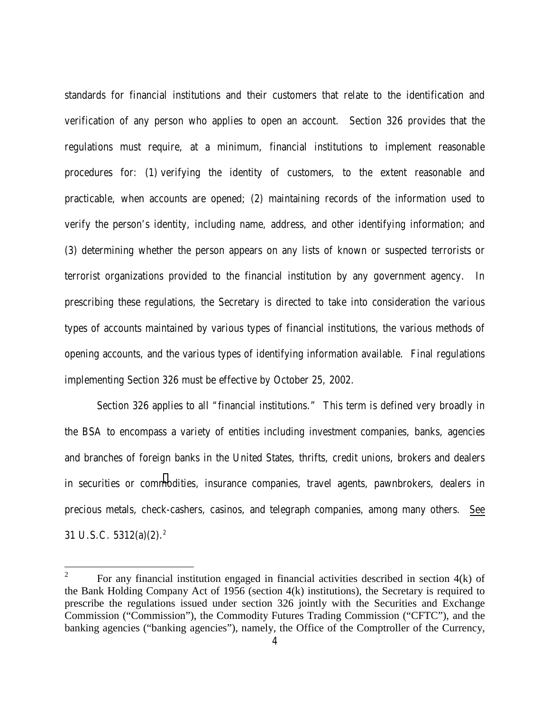standards for financial institutions and their customers that relate to the identification and verification of any person who applies to open an account. Section 326 provides that the regulations must require, at a minimum, financial institutions to implement reasonable procedures for: (1) verifying the identity of customers, to the extent reasonable and practicable, when accounts are opened; (2) maintaining records of the information used to verify the person's identity, including name, address, and other identifying information; and (3) determining whether the person appears on any lists of known or suspected terrorists or terrorist organizations provided to the financial institution by any government agency. In prescribing these regulations, the Secretary is directed to take into consideration the various types of accounts maintained by various types of financial institutions, the various methods of opening accounts, and the various types of identifying information available. Final regulations implementing Section 326 must be effective by October 25, 2002.

Section 326 applies to all "financial institutions." This term is defined very broadly in the BSA to encompass a variety of entities including investment companies, banks, agencies and branches of foreign banks in the United States, thrifts, credit unions, brokers and dealers in securities or commodities, insurance companies, travel agents, pawnbrokers, dealers in precious metals, check-cashers, casinos, and telegraph companies, among many others. See 31 U.S.C.  $5312(a)(2).^2$ 

 $\overline{a}$ 

<sup>2</sup> For any financial institution engaged in financial activities described in section 4(k) of the Bank Holding Company Act of 1956 (section 4(k) institutions), the Secretary is required to prescribe the regulations issued under section 326 jointly with the Securities and Exchange Commission ("Commission"), the Commodity Futures Trading Commission ("CFTC"), and the banking agencies ("banking agencies"), namely, the Office of the Comptroller of the Currency,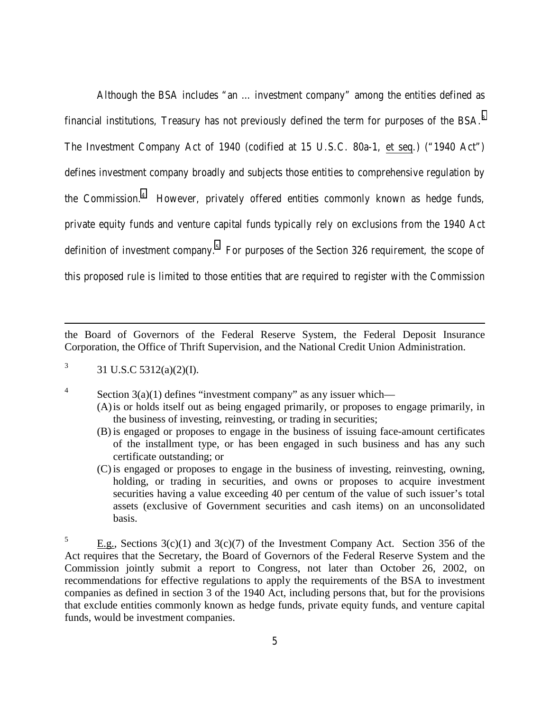Although the BSA includes "an … investment company" among the entities defined as financial institutions, Treasury has not previously defined the term for purposes of the BSA.3 The Investment Company Act of 1940 (codified at 15 U.S.C. 80a-1, et seq.) ("1940 Act") defines investment company broadly and subjects those entities to comprehensive regulation by the Commission.4 However, privately offered entities commonly known as hedge funds, private equity funds and venture capital funds typically rely on exclusions from the 1940 Act definition of investment company.<sup>5</sup> For purposes of the Section 326 requirement, the scope of this proposed rule is limited to those entities that are required to register with the Commission

the Board of Governors of the Federal Reserve System, the Federal Deposit Insurance Corporation, the Office of Thrift Supervision, and the National Credit Union Administration.

3 31 U.S.C 5312(a)(2)(I).

-

4

Section  $3(a)(1)$  defines "investment company" as any issuer which—

- (A)is or holds itself out as being engaged primarily, or proposes to engage primarily, in the business of investing, reinvesting, or trading in securities;
- (B) is engaged or proposes to engage in the business of issuing face-amount certificates of the installment type, or has been engaged in such business and has any such certificate outstanding; or
- (C) is engaged or proposes to engage in the business of investing, reinvesting, owning, holding, or trading in securities, and owns or proposes to acquire investment securities having a value exceeding 40 per centum of the value of such issuer's total assets (exclusive of Government securities and cash items) on an unconsolidated basis.

<sup>5</sup> E.g., Sections  $3(c)(1)$  and  $3(c)(7)$  of the Investment Company Act. Section 356 of the Act requires that the Secretary, the Board of Governors of the Federal Reserve System and the Commission jointly submit a report to Congress, not later than October 26, 2002, on recommendations for effective regulations to apply the requirements of the BSA to investment companies as defined in section 3 of the 1940 Act, including persons that, but for the provisions that exclude entities commonly known as hedge funds, private equity funds, and venture capital funds, would be investment companies.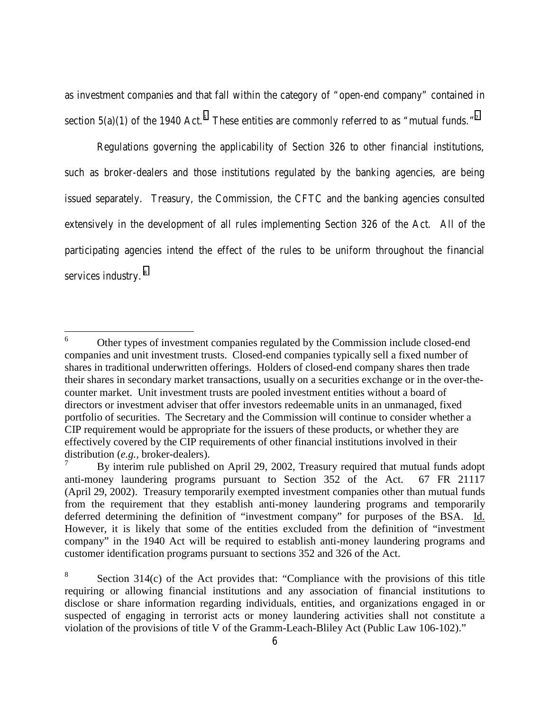as investment companies and that fall within the category of "open-end company" contained in section 5(a)(1) of the 1940 Act.<sup>6</sup> These entities are commonly referred to as "mutual funds."<sup>7</sup>

Regulations governing the applicability of Section 326 to other financial institutions, such as broker-dealers and those institutions regulated by the banking agencies, are being issued separately. Treasury, the Commission, the CFTC and the banking agencies consulted extensively in the development of all rules implementing Section 326 of the Act. All of the participating agencies intend the effect of the rules to be uniform throughout the financial services industry.<sup>8</sup>

 6 Other types of investment companies regulated by the Commission include closed-end companies and unit investment trusts. Closed-end companies typically sell a fixed number of shares in traditional underwritten offerings. Holders of closed-end company shares then trade their shares in secondary market transactions, usually on a securities exchange or in the over-thecounter market. Unit investment trusts are pooled investment entities without a board of directors or investment adviser that offer investors redeemable units in an unmanaged, fixed portfolio of securities. The Secretary and the Commission will continue to consider whether a CIP requirement would be appropriate for the issuers of these products, or whether they are effectively covered by the CIP requirements of other financial institutions involved in their distribution (*e.g.,* broker-dealers).

<sup>7</sup> By interim rule published on April 29, 2002, Treasury required that mutual funds adopt anti-money laundering programs pursuant to Section 352 of the Act. 67 FR 21117 (April 29, 2002). Treasury temporarily exempted investment companies other than mutual funds from the requirement that they establish anti-money laundering programs and temporarily deferred determining the definition of "investment company" for purposes of the BSA. Id. However, it is likely that some of the entities excluded from the definition of "investment company" in the 1940 Act will be required to establish anti-money laundering programs and customer identification programs pursuant to sections 352 and 326 of the Act.

<sup>8</sup> Section 314(c) of the Act provides that: "Compliance with the provisions of this title requiring or allowing financial institutions and any association of financial institutions to disclose or share information regarding individuals, entities, and organizations engaged in or suspected of engaging in terrorist acts or money laundering activities shall not constitute a violation of the provisions of title V of the Gramm-Leach-Bliley Act (Public Law 106-102)."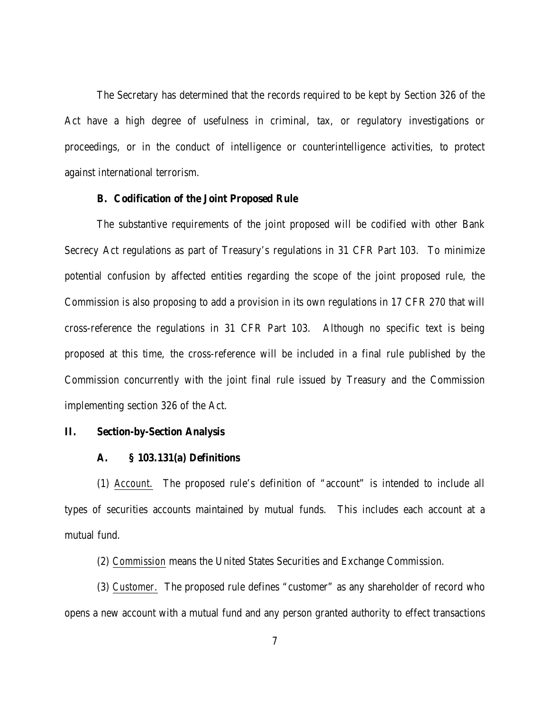The Secretary has determined that the records required to be kept by Section 326 of the Act have a high degree of usefulness in criminal, tax, or regulatory investigations or proceedings, or in the conduct of intelligence or counterintelligence activities, to protect against international terrorism.

#### **B. Codification of the Joint Proposed Rule**

The substantive requirements of the joint proposed will be codified with other Bank Secrecy Act regulations as part of Treasury's regulations in 31 CFR Part 103. To minimize potential confusion by affected entities regarding the scope of the joint proposed rule, the Commission is also proposing to add a provision in its own regulations in 17 CFR 270 that will cross-reference the regulations in 31 CFR Part 103. Although no specific text is being proposed at this time, the cross-reference will be included in a final rule published by the Commission concurrently with the joint final rule issued by Treasury and the Commission implementing section 326 of the Act.

#### **II. Section-by-Section Analysis**

#### **A. § 103.131(a) Definitions**

(1) *Account*. The proposed rule's definition of "account" is intended to include all types of securities accounts maintained by mutual funds. This includes each account at a mutual fund.

(2) *Commission* means the United States Securities and Exchange Commission.

(3) *Customer*. The proposed rule defines "customer" as any shareholder of record who opens a new account with a mutual fund and any person granted authority to effect transactions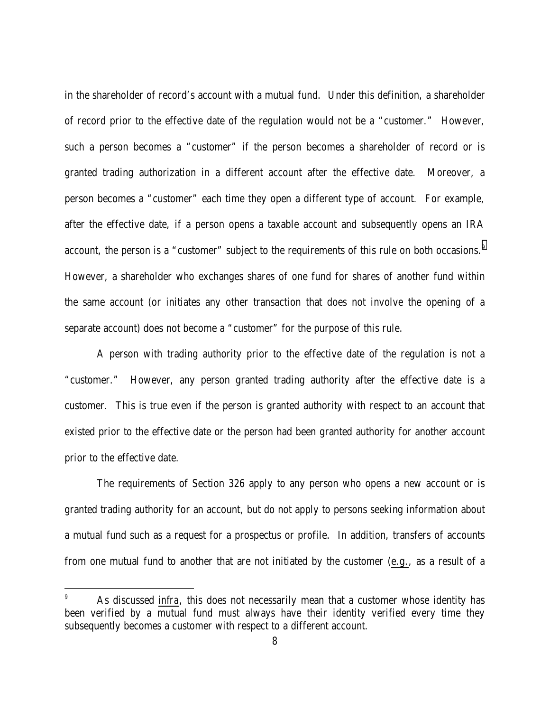in the shareholder of record's account with a mutual fund. Under this definition, a shareholder of record prior to the effective date of the regulation would not be a "customer." However, such a person becomes a "customer" if the person becomes a shareholder of record or is granted trading authorization in a different account after the effective date. Moreover, a person becomes a "customer" each time they open a different type of account. For example, after the effective date, if a person opens a taxable account and subsequently opens an IRA account, the person is a "customer" subject to the requirements of this rule on both occasions.<sup>9</sup> However, a shareholder who exchanges shares of one fund for shares of another fund within the same account (or initiates any other transaction that does not involve the opening of a separate account) does not become a "customer" for the purpose of this rule.

A person with trading authority prior to the effective date of the regulation is not a "customer." However, any person granted trading authority after the effective date is a customer. This is true even if the person is granted authority with respect to an account that existed prior to the effective date or the person had been granted authority for another account prior to the effective date.

The requirements of Section 326 apply to any person who opens a new account or is granted trading authority for an account, but do not apply to persons seeking information about a mutual fund such as a request for a prospectus or profile. In addition, transfers of accounts from one mutual fund to another that are not initiated by the customer (e.g., as a result of a

 $\overline{a}$ 

<sup>9</sup> As discussed *infra*, this does not necessarily mean that a customer whose identity has been verified by a mutual fund must always have their identity verified every time they subsequently becomes a customer with respect to a different account.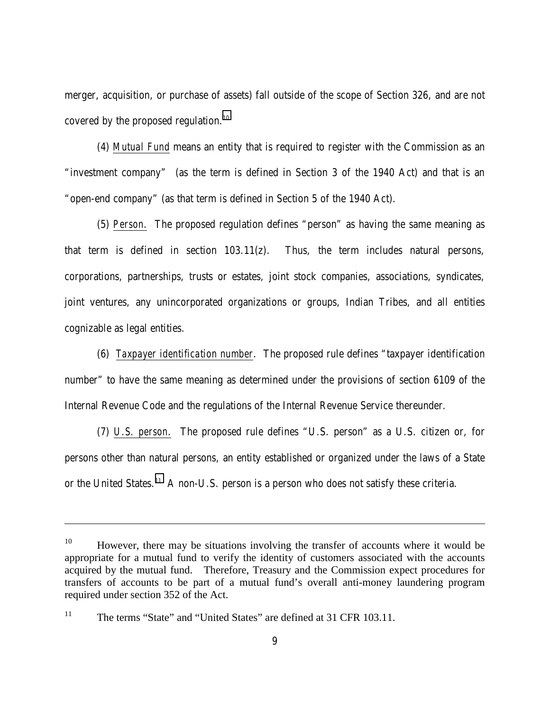merger, acquisition, or purchase of assets) fall outside of the scope of Section 326, and are not covered by the proposed regulation.<sup>10</sup>

(4) *Mutual Fund* means an entity that is required to register with the Commission as an "investment company" (as the term is defined in Section 3 of the 1940 Act) and that is an "open-end company" (as that term is defined in Section 5 of the 1940 Act).

(5) *Person*. The proposed regulation defines "person" as having the same meaning as that term is defined in section 103.11(z). Thus, the term includes natural persons, corporations, partnerships, trusts or estates, joint stock companies, associations, syndicates, joint ventures, any unincorporated organizations or groups, Indian Tribes, and all entities cognizable as legal entities.

(6) *Taxpayer identification number*. The proposed rule defines "taxpayer identification number" to have the same meaning as determined under the provisions of section 6109 of the Internal Revenue Code and the regulations of the Internal Revenue Service thereunder.

(7) *U.S. person*. The proposed rule defines "U.S. person" as a U.S. citizen or, for persons other than natural persons, an entity established or organized under the laws of a State or the United States.<sup>11</sup> A non-U.S. person is a person who does not satisfy these criteria.

l

 $10$  However, there may be situations involving the transfer of accounts where it would be appropriate for a mutual fund to verify the identity of customers associated with the accounts acquired by the mutual fund. Therefore, Treasury and the Commission expect procedures for transfers of accounts to be part of a mutual fund's overall anti-money laundering program required under section 352 of the Act.

<sup>&</sup>lt;sup>11</sup> The terms "State" and "United States" are defined at 31 CFR 103.11.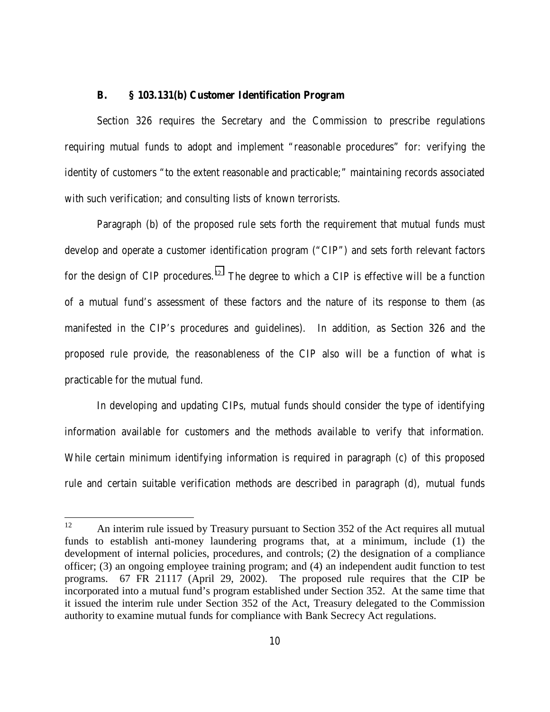## **B. § 103.131(b) Customer Identification Program**

Section 326 requires the Secretary and the Commission to prescribe regulations requiring mutual funds to adopt and implement "reasonable procedures" for: verifying the identity of customers "to the extent reasonable and practicable;" maintaining records associated with such verification; and consulting lists of known terrorists.

Paragraph (b) of the proposed rule sets forth the requirement that mutual funds must develop and operate a customer identification program ("CIP") and sets forth relevant factors for the design of CIP procedures.<sup>12</sup> The degree to which a CIP is effective will be a function of a mutual fund's assessment of these factors and the nature of its response to them (as manifested in the CIP's procedures and guidelines). In addition, as Section 326 and the proposed rule provide, the reasonableness of the CIP also will be a function of what is practicable for the mutual fund.

In developing and updating CIPs, mutual funds should consider the type of identifying information available for customers and the methods available to verify that information. While certain minimum identifying information is required in paragraph (c) of this proposed rule and certain suitable verification methods are described in paragraph (d), mutual funds

<sup>12</sup> An interim rule issued by Treasury pursuant to Section 352 of the Act requires all mutual funds to establish anti-money laundering programs that, at a minimum, include (1) the development of internal policies, procedures, and controls; (2) the designation of a compliance officer; (3) an ongoing employee training program; and (4) an independent audit function to test programs. 67 FR 21117 (April 29, 2002). The proposed rule requires that the CIP be incorporated into a mutual fund's program established under Section 352. At the same time that it issued the interim rule under Section 352 of the Act, Treasury delegated to the Commission authority to examine mutual funds for compliance with Bank Secrecy Act regulations.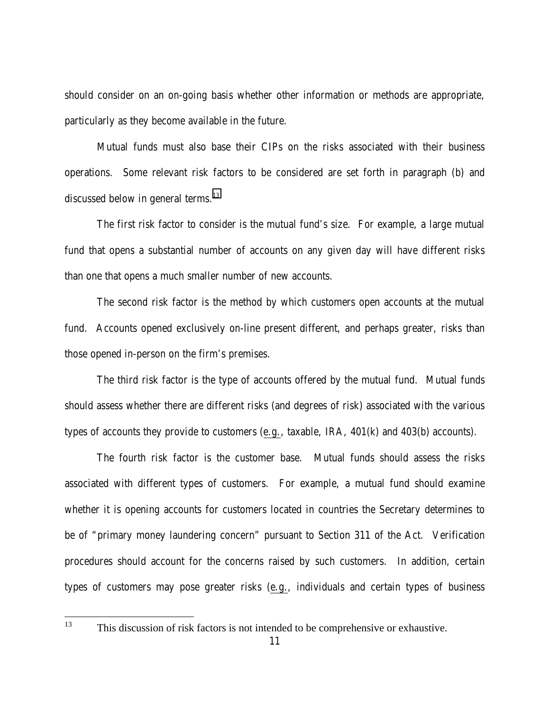should consider on an on-going basis whether other information or methods are appropriate, particularly as they become available in the future.

Mutual funds must also base their CIPs on the risks associated with their business operations. Some relevant risk factors to be considered are set forth in paragraph (b) and discussed below in general terms.<sup>13</sup>

The first risk factor to consider is the mutual fund's size. For example, a large mutual fund that opens a substantial number of accounts on any given day will have different risks than one that opens a much smaller number of new accounts.

The second risk factor is the method by which customers open accounts at the mutual fund. Accounts opened exclusively on-line present different, and perhaps greater, risks than those opened in-person on the firm's premises.

The third risk factor is the type of accounts offered by the mutual fund. Mutual funds should assess whether there are different risks (and degrees of risk) associated with the various types of accounts they provide to customers (e.g., taxable, IRA, 401(k) and 403(b) accounts).

The fourth risk factor is the customer base. Mutual funds should assess the risks associated with different types of customers. For example, a mutual fund should examine whether it is opening accounts for customers located in countries the Secretary determines to be of "primary money laundering concern" pursuant to Section 311 of the Act. Verification procedures should account for the concerns raised by such customers. In addition, certain types of customers may pose greater risks (e.g., individuals and certain types of business

13

This discussion of risk factors is not intended to be comprehensive or exhaustive.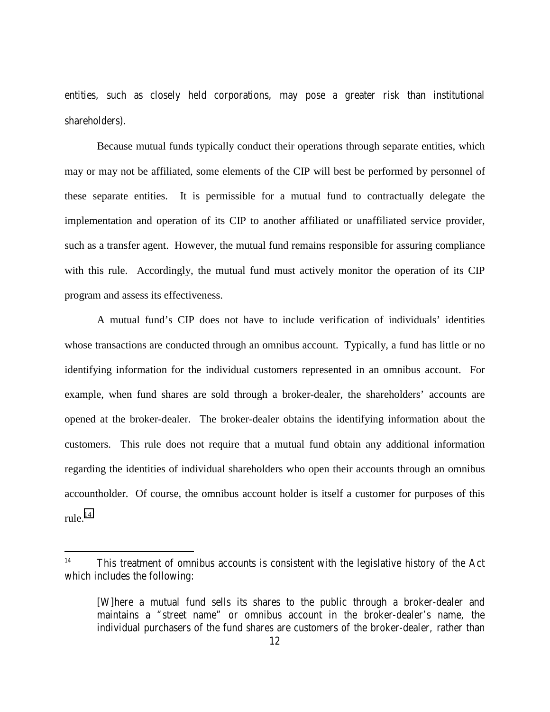entities, such as closely held corporations, may pose a greater risk than institutional shareholders).

Because mutual funds typically conduct their operations through separate entities, which may or may not be affiliated, some elements of the CIP will best be performed by personnel of these separate entities. It is permissible for a mutual fund to contractually delegate the implementation and operation of its CIP to another affiliated or unaffiliated service provider, such as a transfer agent. However, the mutual fund remains responsible for assuring compliance with this rule. Accordingly, the mutual fund must actively monitor the operation of its CIP program and assess its effectiveness.

A mutual fund's CIP does not have to include verification of individuals' identities whose transactions are conducted through an omnibus account. Typically, a fund has little or no identifying information for the individual customers represented in an omnibus account. For example, when fund shares are sold through a broker-dealer, the shareholders' accounts are opened at the broker-dealer. The broker-dealer obtains the identifying information about the customers. This rule does not require that a mutual fund obtain any additional information regarding the identities of individual shareholders who open their accounts through an omnibus accountholder. Of course, the omnibus account holder is itself a customer for purposes of this rule $^{14}$ 

l

<sup>&</sup>lt;sup>14</sup> This treatment of omnibus accounts is consistent with the legislative history of the Act which includes the following:

<sup>[</sup>W]here a mutual fund sells its shares to the public through a broker-dealer and maintains a "street name" or omnibus account in the broker-dealer's name, the individual purchasers of the fund shares are customers of the broker-dealer, rather than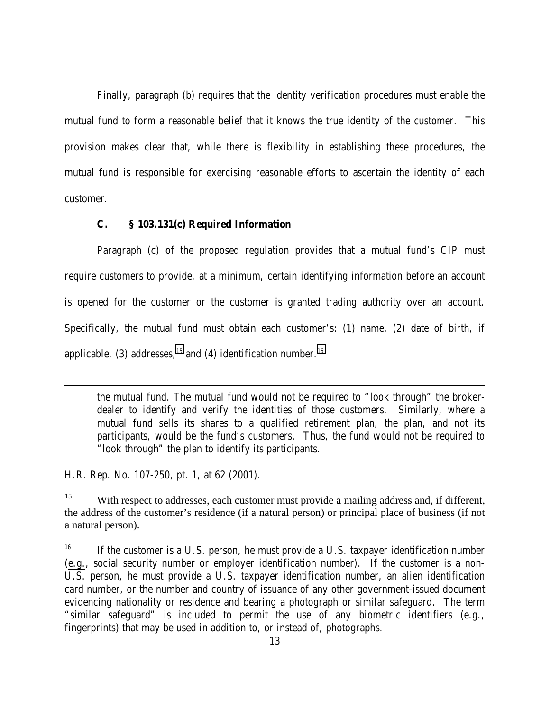Finally, paragraph (b) requires that the identity verification procedures must enable the mutual fund to form a reasonable belief that it knows the true identity of the customer. This provision makes clear that, while there is flexibility in establishing these procedures, the mutual fund is responsible for exercising reasonable efforts to ascertain the identity of each customer.

## **C. § 103.131(c) Required Information**

Paragraph (c) of the proposed regulation provides that a mutual fund's CIP must require customers to provide, at a minimum, certain identifying information before an account is opened for the customer or the customer is granted trading authority over an account. Specifically, the mutual fund must obtain each customer's: (1) name, (2) date of birth, if applicable, (3) addresses,  $^{15}$  and (4) identification number.  $^{16}$ 

the mutual fund. The mutual fund would not be required to "look through" the brokerdealer to identify and verify the identities of those customers. Similarly, where a mutual fund sells its shares to a qualified retirement plan, the plan, and not its participants, would be the fund's customers. Thus, the fund would not be required to "look through" the plan to identify its participants.

H.R. Rep. No. 107-250, pt. 1, at 62 (2001).

 $\overline{a}$ 

<sup>15</sup> With respect to addresses, each customer must provide a mailing address and, if different, the address of the customer's residence (if a natural person) or principal place of business (if not a natural person).

<sup>16</sup> If the customer is a U.S. person, he must provide a U.S. taxpayer identification number (e.g., social security number or employer identification number). If the customer is a non-U.S. person, he must provide a U.S. taxpayer identification number, an alien identification card number, or the number and country of issuance of any other government-issued document evidencing nationality or residence and bearing a photograph or similar safeguard. The term "similar safeguard" is included to permit the use of any biometric identifiers (e.g., fingerprints) that may be used in addition to, or instead of, photographs.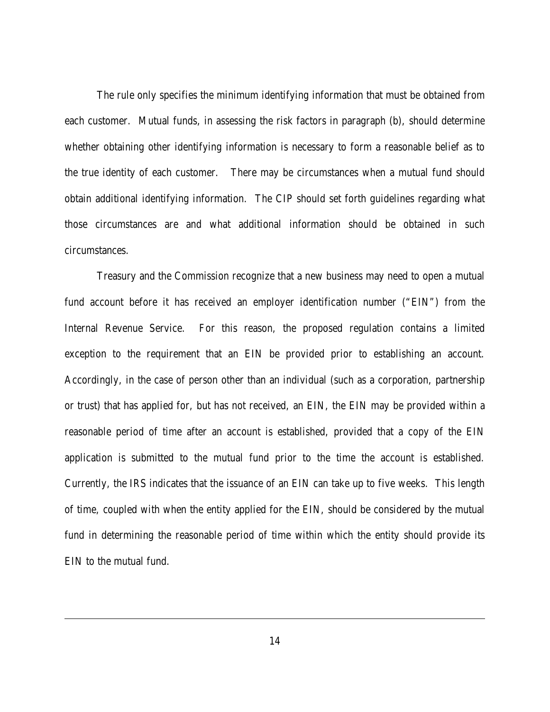The rule only specifies the minimum identifying information that must be obtained from each customer. Mutual funds, in assessing the risk factors in paragraph (b), should determine whether obtaining other identifying information is necessary to form a reasonable belief as to the true identity of each customer. There may be circumstances when a mutual fund should obtain additional identifying information. The CIP should set forth guidelines regarding what those circumstances are and what additional information should be obtained in such circumstances.

Treasury and the Commission recognize that a new business may need to open a mutual fund account before it has received an employer identification number ("EIN") from the Internal Revenue Service. For this reason, the proposed regulation contains a limited exception to the requirement that an EIN be provided prior to establishing an account. Accordingly, in the case of person other than an individual (such as a corporation, partnership or trust) that has applied for, but has not received, an EIN, the EIN may be provided within a reasonable period of time after an account is established, provided that a copy of the EIN application is submitted to the mutual fund prior to the time the account is established. Currently, the IRS indicates that the issuance of an EIN can take up to five weeks. This length of time, coupled with when the entity applied for the EIN, should be considered by the mutual fund in determining the reasonable period of time within which the entity should provide its EIN to the mutual fund.

l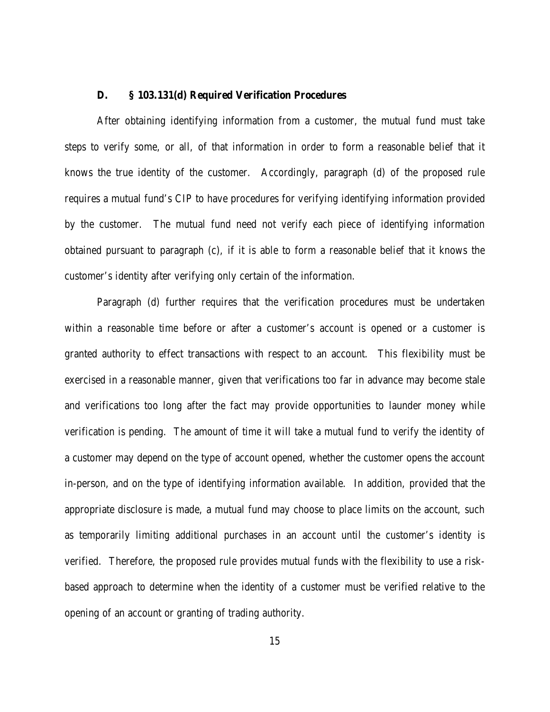## **D. § 103.131(d) Required Verification Procedures**

After obtaining identifying information from a customer, the mutual fund must take steps to verify some, or all, of that information in order to form a reasonable belief that it knows the true identity of the customer. Accordingly, paragraph (d) of the proposed rule requires a mutual fund's CIP to have procedures for verifying identifying information provided by the customer. The mutual fund need not verify each piece of identifying information obtained pursuant to paragraph (c), if it is able to form a reasonable belief that it knows the customer's identity after verifying only certain of the information.

Paragraph (d) further requires that the verification procedures must be undertaken within a reasonable time before or after a customer's account is opened or a customer is granted authority to effect transactions with respect to an account. This flexibility must be exercised in a reasonable manner, given that verifications too far in advance may become stale and verifications too long after the fact may provide opportunities to launder money while verification is pending. The amount of time it will take a mutual fund to verify the identity of a customer may depend on the type of account opened, whether the customer opens the account in-person, and on the type of identifying information available. In addition, provided that the appropriate disclosure is made, a mutual fund may choose to place limits on the account, such as temporarily limiting additional purchases in an account until the customer's identity is verified. Therefore, the proposed rule provides mutual funds with the flexibility to use a riskbased approach to determine when the identity of a customer must be verified relative to the opening of an account or granting of trading authority.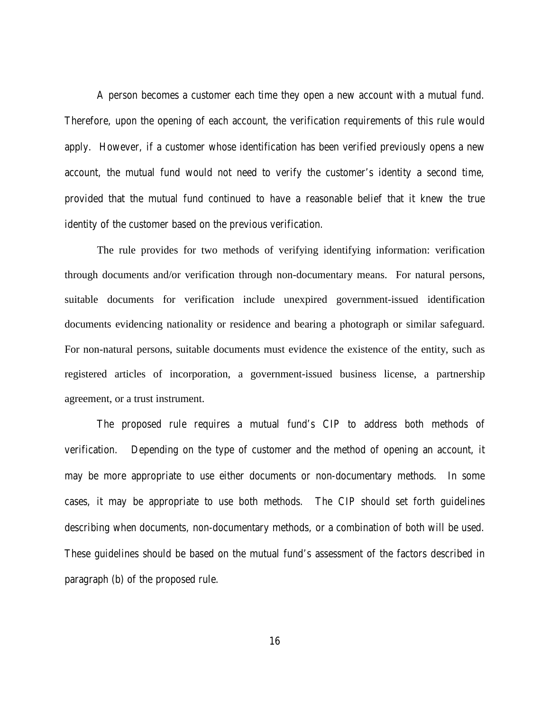A person becomes a customer each time they open a new account with a mutual fund. Therefore, upon the opening of each account, the verification requirements of this rule would apply. However, if a customer whose identification has been verified previously opens a new account, the mutual fund would not need to verify the customer's identity a second time, provided that the mutual fund continued to have a reasonable belief that it knew the true identity of the customer based on the previous verification.

The rule provides for two methods of verifying identifying information: verification through documents and/or verification through non-documentary means. For natural persons, suitable documents for verification include unexpired government-issued identification documents evidencing nationality or residence and bearing a photograph or similar safeguard. For non-natural persons, suitable documents must evidence the existence of the entity, such as registered articles of incorporation, a government-issued business license, a partnership agreement, or a trust instrument.

The proposed rule requires a mutual fund's CIP to address both methods of verification. Depending on the type of customer and the method of opening an account, it may be more appropriate to use either documents or non-documentary methods. In some cases, it may be appropriate to use both methods. The CIP should set forth guidelines describing when documents, non-documentary methods, or a combination of both will be used. These guidelines should be based on the mutual fund's assessment of the factors described in paragraph (b) of the proposed rule.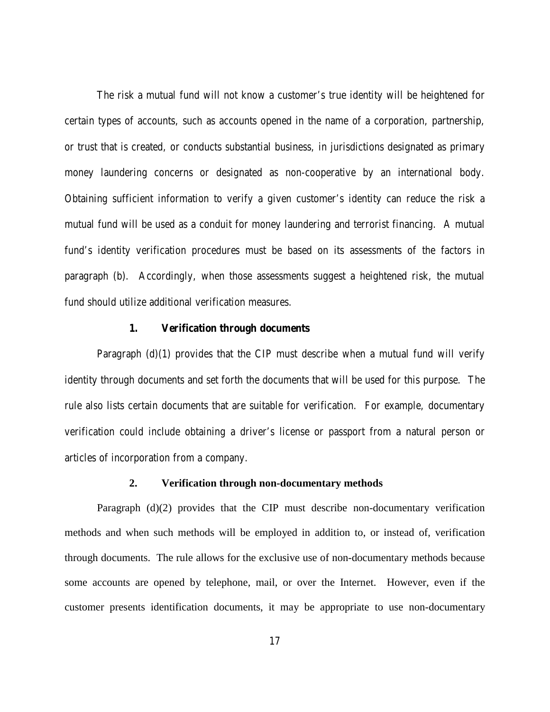The risk a mutual fund will not know a customer's true identity will be heightened for certain types of accounts, such as accounts opened in the name of a corporation, partnership, or trust that is created, or conducts substantial business, in jurisdictions designated as primary money laundering concerns or designated as non-cooperative by an international body. Obtaining sufficient information to verify a given customer's identity can reduce the risk a mutual fund will be used as a conduit for money laundering and terrorist financing.A mutual fund's identity verification procedures must be based on its assessments of the factors in paragraph (b). Accordingly, when those assessments suggest a heightened risk, the mutual fund should utilize additional verification measures.

#### **1. Verification through documents**

Paragraph  $(d)(1)$  provides that the CIP must describe when a mutual fund will verify identity through documents and set forth the documents that will be used for this purpose. The rule also lists certain documents that are suitable for verification. For example, documentary verification could include obtaining a driver's license or passport from a natural person or articles of incorporation from a company.

#### **2. Verification through non-documentary methods**

Paragraph  $(d)(2)$  provides that the CIP must describe non-documentary verification methods and when such methods will be employed in addition to, or instead of, verification through documents. The rule allows for the exclusive use of non-documentary methods because some accounts are opened by telephone, mail, or over the Internet. However, even if the customer presents identification documents, it may be appropriate to use non-documentary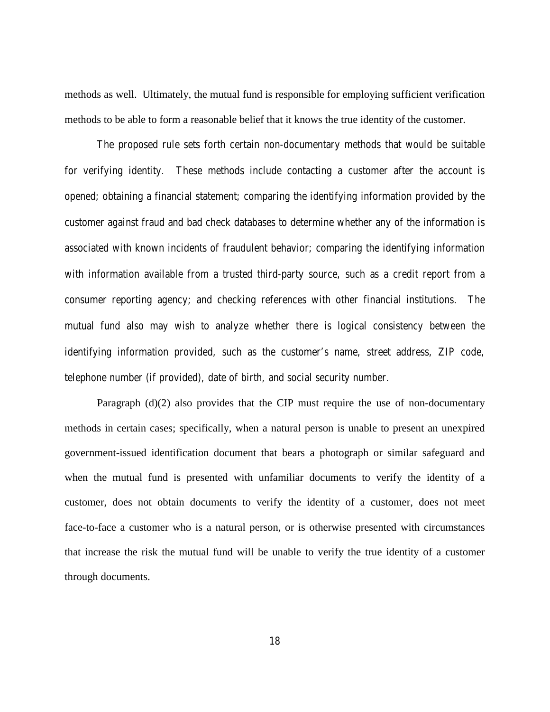methods as well. Ultimately, the mutual fund is responsible for employing sufficient verification methods to be able to form a reasonable belief that it knows the true identity of the customer.

The proposed rule sets forth certain non-documentary methods that would be suitable for verifying identity. These methods include contacting a customer after the account is opened; obtaining a financial statement; comparing the identifying information provided by the customer against fraud and bad check databases to determine whether any of the information is associated with known incidents of fraudulent behavior; comparing the identifying information with information available from a trusted third-party source, such as a credit report from a consumer reporting agency; and checking references with other financial institutions. The mutual fund also may wish to analyze whether there is logical consistency between the identifying information provided, such as the customer's name, street address, ZIP code, telephone number (if provided), date of birth, and social security number.

Paragraph (d)(2) also provides that the CIP must require the use of non-documentary methods in certain cases; specifically, when a natural person is unable to present an unexpired government-issued identification document that bears a photograph or similar safeguard and when the mutual fund is presented with unfamiliar documents to verify the identity of a customer, does not obtain documents to verify the identity of a customer, does not meet face-to-face a customer who is a natural person, or is otherwise presented with circumstances that increase the risk the mutual fund will be unable to verify the true identity of a customer through documents.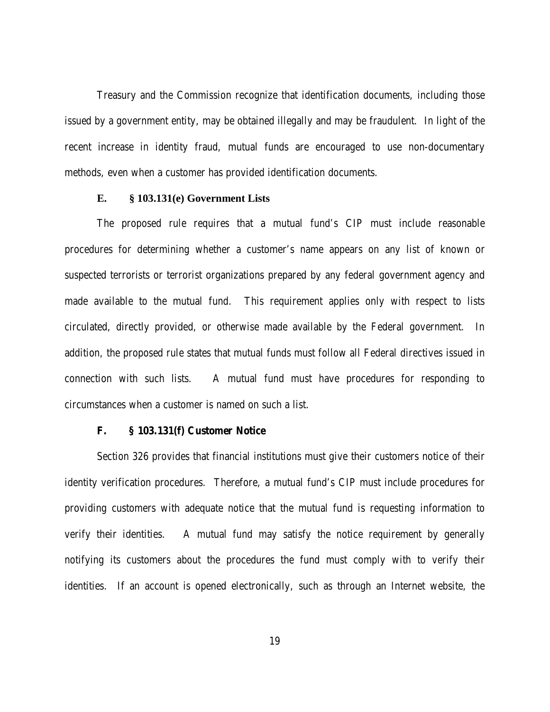Treasury and the Commission recognize that identification documents, including those issued by a government entity, may be obtained illegally and may be fraudulent. In light of the recent increase in identity fraud, mutual funds are encouraged to use non-documentary methods, even when a customer has provided identification documents.

## **E. § 103.131(e) Government Lists**

The proposed rule requires that a mutual fund's CIP must include reasonable procedures for determining whether a customer's name appears on any list of known or suspected terrorists or terrorist organizations prepared by any federal government agency and made available to the mutual fund. This requirement applies only with respect to lists circulated, directly provided, or otherwise made available by the Federal government. In addition, the proposed rule states that mutual funds must follow all Federal directives issued in connection with such lists. A mutual fund must have procedures for responding to circumstances when a customer is named on such a list.

## **F. § 103.131(f) Customer Notice**

Section 326 provides that financial institutions must give their customers notice of their identity verification procedures. Therefore, a mutual fund's CIP must include procedures for providing customers with adequate notice that the mutual fund is requesting information to verify their identities. A mutual fund may satisfy the notice requirement by generally notifying its customers about the procedures the fund must comply with to verify their identities. If an account is opened electronically, such as through an Internet website, the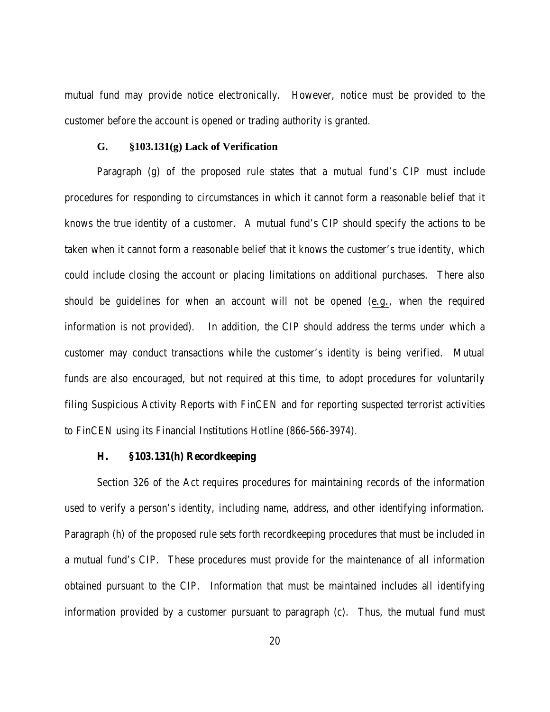mutual fund may provide notice electronically. However, notice must be provided to the customer before the account is opened or trading authority is granted.

#### **G. §103.131(g) Lack of Verification**

Paragraph (g) of the proposed rule states that a mutual fund's CIP must include procedures for responding to circumstances in which it cannot form a reasonable belief that it knows the true identity of a customer. A mutual fund's CIP should specify the actions to be taken when it cannot form a reasonable belief that it knows the customer's true identity, which could include closing the account or placing limitations on additional purchases. There also should be guidelines for when an account will not be opened (e.g., when the required information is not provided). In addition, the CIP should address the terms under which a customer may conduct transactions while the customer's identity is being verified. Mutual funds are also encouraged, but not required at this time, to adopt procedures for voluntarily filing Suspicious Activity Reports with FinCEN and for reporting suspected terrorist activities to FinCEN using its Financial Institutions Hotline (866-566-3974).

## **H. §103.131(h) Recordkeeping**

Section 326 of the Act requires procedures for maintaining records of the information used to verify a person's identity, including name, address, and other identifying information. Paragraph (h) of the proposed rule sets forth recordkeeping procedures that must be included in a mutual fund's CIP. These procedures must provide for the maintenance of all information obtained pursuant to the CIP. Information that must be maintained includes all identifying information provided by a customer pursuant to paragraph (c). Thus, the mutual fund must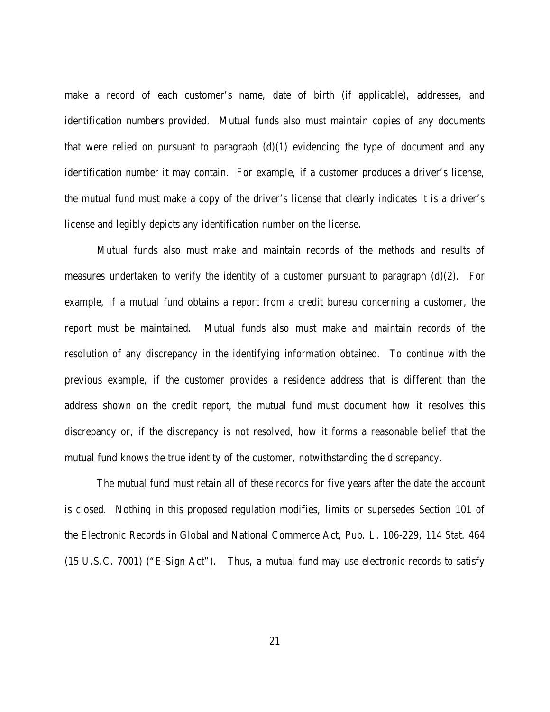make a record of each customer's name, date of birth (if applicable), addresses, and identification numbers provided. Mutual funds also must maintain copies of any documents that were relied on pursuant to paragraph  $(d)(1)$  evidencing the type of document and any identification number it may contain. For example, if a customer produces a driver's license, the mutual fund must make a copy of the driver's license that clearly indicates it is a driver's license and legibly depicts any identification number on the license.

Mutual funds also must make and maintain records of the methods and results of measures undertaken to verify the identity of a customer pursuant to paragraph (d)(2). For example, if a mutual fund obtains a report from a credit bureau concerning a customer, the report must be maintained. Mutual funds also must make and maintain records of the resolution of any discrepancy in the identifying information obtained. To continue with the previous example, if the customer provides a residence address that is different than the address shown on the credit report, the mutual fund must document how it resolves this discrepancy or, if the discrepancy is not resolved, how it forms a reasonable belief that the mutual fund knows the true identity of the customer, notwithstanding the discrepancy.

The mutual fund must retain all of these records for five years after the date the account is closed. Nothing in this proposed regulation modifies, limits or supersedes Section 101 of the Electronic Records in Global and National Commerce Act, Pub. L. 106-229, 114 Stat. 464 (15 U.S.C. 7001) ("E-Sign Act"). Thus, a mutual fund may use electronic records to satisfy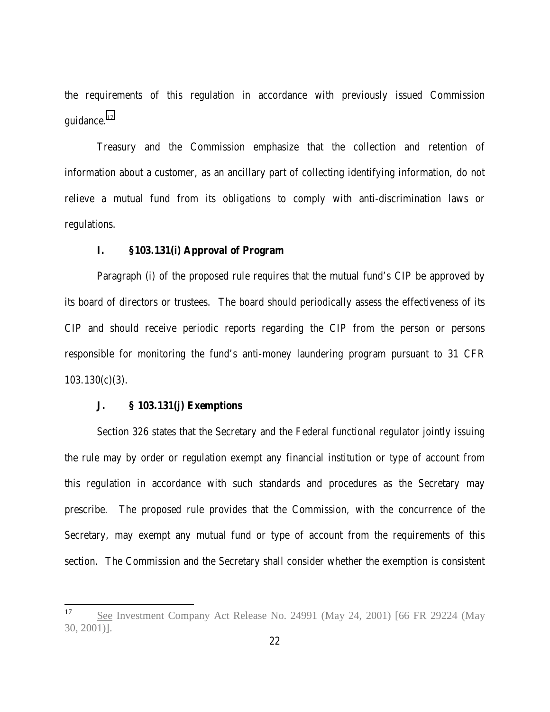the requirements of this regulation in accordance with previously issued Commission guidance.<sup>17</sup>

Treasury and the Commission emphasize that the collection and retention of information about a customer, as an ancillary part of collecting identifying information, do not relieve a mutual fund from its obligations to comply with anti-discrimination laws or regulations.

## **I. §103.131(i) Approval of Program**

Paragraph (i) of the proposed rule requires that the mutual fund's CIP be approved by its board of directors or trustees. The board should periodically assess the effectiveness of its CIP and should receive periodic reports regarding the CIP from the person or persons responsible for monitoring the fund's anti-money laundering program pursuant to 31 CFR  $103.130(c)(3)$ .

## **J. § 103.131(j) Exemptions**

Section 326 states that the Secretary and the Federal functional regulator jointly issuing the rule may by order or regulation exempt any financial institution or type of account from this regulation in accordance with such standards and procedures as the Secretary may prescribe. The proposed rule provides that the Commission, with the concurrence of the Secretary, may exempt any mutual fund or type of account from the requirements of this section. The Commission and the Secretary shall consider whether the exemption is consistent

<sup>17</sup> See Investment Company Act Release No. 24991 (May 24, 2001) [66 FR 29224 (May 30, 2001)].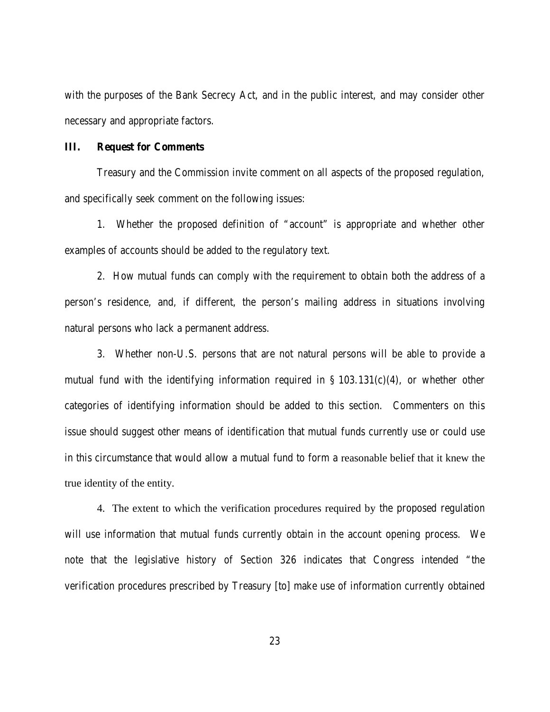with the purposes of the Bank Secrecy Act, and in the public interest, and may consider other necessary and appropriate factors.

#### **III. Request for Comments**

Treasury and the Commission invite comment on all aspects of the proposed regulation, and specifically seek comment on the following issues:

1. Whether the proposed definition of "account" is appropriate and whether other examples of accounts should be added to the regulatory text.

2. How mutual funds can comply with the requirement to obtain both the address of a person's residence, and, if different, the person's mailing address in situations involving natural persons who lack a permanent address.

3. Whether non-U.S. persons that are not natural persons will be able to provide a mutual fund with the identifying information required in § 103.131(c)(4), or whether other categories of identifying information should be added to this section. Commenters on this issue should suggest other means of identification that mutual funds currently use or could use in this circumstance that would allow a mutual fund to form a reasonable belief that it knew the true identity of the entity.

4. The extent to which the verification procedures required by the proposed regulation will use information that mutual funds currently obtain in the account opening process. We note that the legislative history of Section 326 indicates that Congress intended "the verification procedures prescribed by Treasury [to] make use of information currently obtained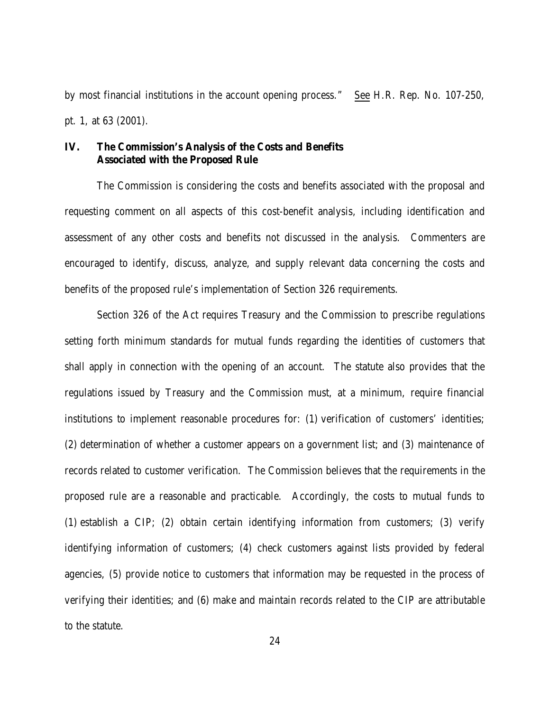by most financial institutions in the account opening process." See H.R. Rep. No. 107-250, pt. 1, at 63 (2001).

# **IV. The Commission's Analysis of the Costs and Benefits Associated with the Proposed Rule**

The Commission is considering the costs and benefits associated with the proposal and requesting comment on all aspects of this cost-benefit analysis, including identification and assessment of any other costs and benefits not discussed in the analysis. Commenters are encouraged to identify, discuss, analyze, and supply relevant data concerning the costs and benefits of the proposed rule's implementation of Section 326 requirements.

Section 326 of the Act requires Treasury and the Commission to prescribe regulations setting forth minimum standards for mutual funds regarding the identities of customers that shall apply in connection with the opening of an account. The statute also provides that the regulations issued by Treasury and the Commission must, at a minimum, require financial institutions to implement reasonable procedures for: (1) verification of customers' identities; (2) determination of whether a customer appears on a government list; and (3) maintenance of records related to customer verification. The Commission believes that the requirements in the proposed rule are a reasonable and practicable. Accordingly, the costs to mutual funds to (1) establish a CIP; (2) obtain certain identifying information from customers; (3) verify identifying information of customers; (4) check customers against lists provided by federal agencies, (5) provide notice to customers that information may be requested in the process of verifying their identities; and (6) make and maintain records related to the CIP are attributable to the statute.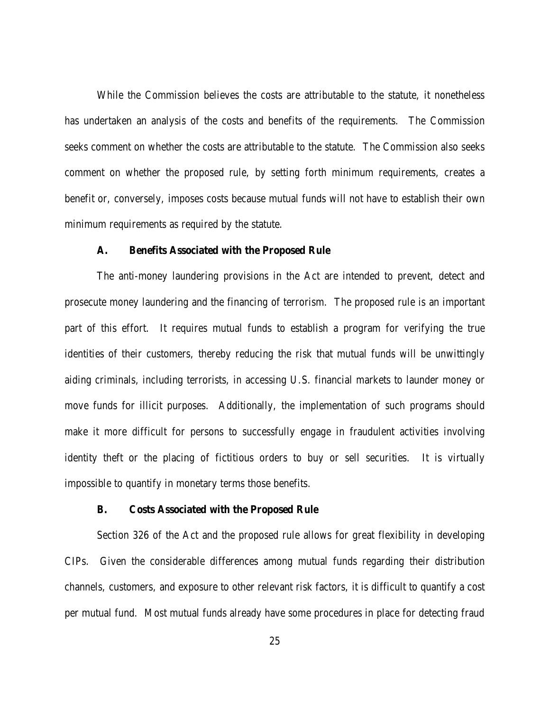While the Commission believes the costs are attributable to the statute, it nonetheless has undertaken an analysis of the costs and benefits of the requirements. The Commission seeks comment on whether the costs are attributable to the statute. The Commission also seeks comment on whether the proposed rule, by setting forth minimum requirements, creates a benefit or, conversely, imposes costs because mutual funds will not have to establish their own minimum requirements as required by the statute.

#### **A. Benefits Associated with the Proposed Rule**

The anti-money laundering provisions in the Act are intended to prevent, detect and prosecute money laundering and the financing of terrorism. The proposed rule is an important part of this effort. It requires mutual funds to establish a program for verifying the true identities of their customers, thereby reducing the risk that mutual funds will be unwittingly aiding criminals, including terrorists, in accessing U.S. financial markets to launder money or move funds for illicit purposes. Additionally, the implementation of such programs should make it more difficult for persons to successfully engage in fraudulent activities involving identity theft or the placing of fictitious orders to buy or sell securities. It is virtually impossible to quantify in monetary terms those benefits.

## **B. Costs Associated with the Proposed Rule**

Section 326 of the Act and the proposed rule allows for great flexibility in developing CIPs. Given the considerable differences among mutual funds regarding their distribution channels, customers, and exposure to other relevant risk factors, it is difficult to quantify a cost per mutual fund. Most mutual funds already have some procedures in place for detecting fraud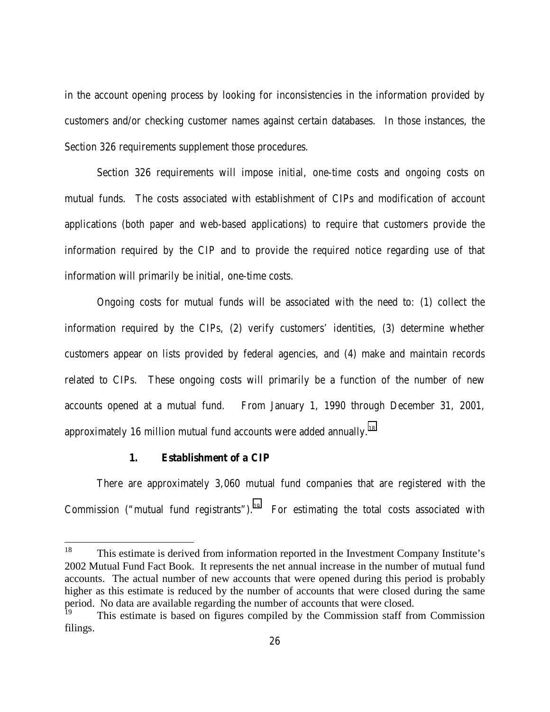in the account opening process by looking for inconsistencies in the information provided by customers and/or checking customer names against certain databases. In those instances, the Section 326 requirements supplement those procedures.

Section 326 requirements will impose initial, one-time costs and ongoing costs on mutual funds. The costs associated with establishment of CIPs and modification of account applications (both paper and web-based applications) to require that customers provide the information required by the CIP and to provide the required notice regarding use of that information will primarily be initial, one-time costs.

Ongoing costs for mutual funds will be associated with the need to: (1) collect the information required by the CIPs, (2) verify customers' identities, (3) determine whether customers appear on lists provided by federal agencies, and (4) make and maintain records related to CIPs. These ongoing costs will primarily be a function of the number of new accounts opened at a mutual fund. From January 1, 1990 through December 31, 2001, approximately 16 million mutual fund accounts were added annually.<sup>18</sup>

## **1. Establishment of a CIP**

There are approximately 3,060 mutual fund companies that are registered with the Commission ("mutual fund registrants").<sup>19</sup> For estimating the total costs associated with

<sup>18</sup> This estimate is derived from information reported in the Investment Company Institute's 2002 Mutual Fund Fact Book. It represents the net annual increase in the number of mutual fund accounts. The actual number of new accounts that were opened during this period is probably higher as this estimate is reduced by the number of accounts that were closed during the same period. No data are available regarding the number of accounts that were closed.

This estimate is based on figures compiled by the Commission staff from Commission filings.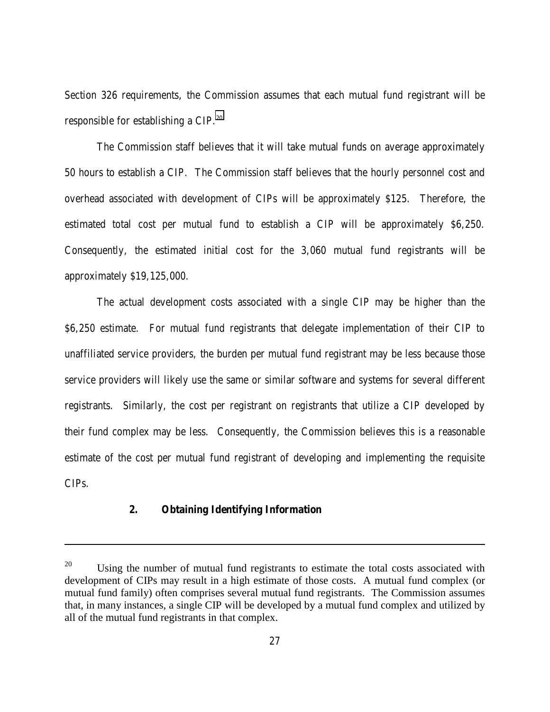Section 326 requirements, the Commission assumes that each mutual fund registrant will be responsible for establishing a CIP.20

The Commission staff believes that it will take mutual funds on average approximately 50 hours to establish a CIP. The Commission staff believes that the hourly personnel cost and overhead associated with development of CIPs will be approximately \$125. Therefore, the estimated total cost per mutual fund to establish a CIP will be approximately \$6,250. Consequently, the estimated initial cost for the 3,060 mutual fund registrants will be approximately \$19,125,000.

The actual development costs associated with a single CIP may be higher than the \$6,250 estimate. For mutual fund registrants that delegate implementation of their CIP to unaffiliated service providers, the burden per mutual fund registrant may be less because those service providers will likely use the same or similar software and systems for several different registrants. Similarly, the cost per registrant on registrants that utilize a CIP developed by their fund complex may be less. Consequently, the Commission believes this is a reasonable estimate of the cost per mutual fund registrant of developing and implementing the requisite CIPs.

# **2. Obtaining Identifying Information**

l

 $^{20}$  Using the number of mutual fund registrants to estimate the total costs associated with development of CIPs may result in a high estimate of those costs. A mutual fund complex (or mutual fund family) often comprises several mutual fund registrants. The Commission assumes that, in many instances, a single CIP will be developed by a mutual fund complex and utilized by all of the mutual fund registrants in that complex.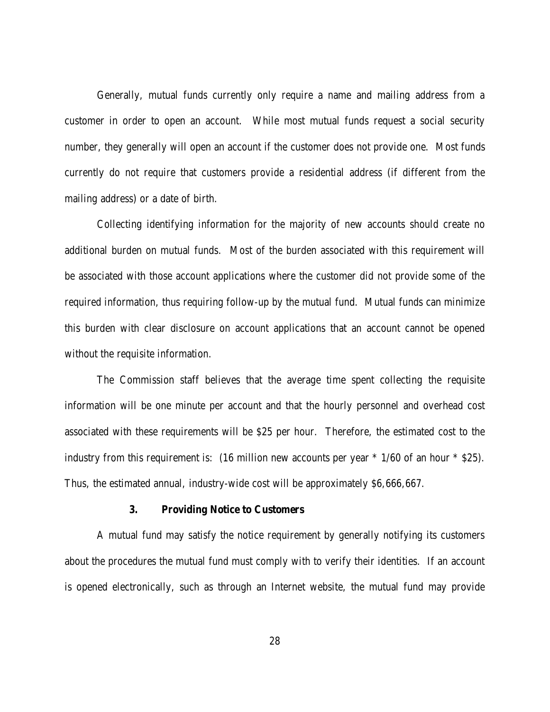Generally, mutual funds currently only require a name and mailing address from a customer in order to open an account. While most mutual funds request a social security number, they generally will open an account if the customer does not provide one. Most funds currently do not require that customers provide a residential address (if different from the mailing address) or a date of birth.

Collecting identifying information for the majority of new accounts should create no additional burden on mutual funds. Most of the burden associated with this requirement will be associated with those account applications where the customer did not provide some of the required information, thus requiring follow-up by the mutual fund. Mutual funds can minimize this burden with clear disclosure on account applications that an account cannot be opened without the requisite information.

The Commission staff believes that the average time spent collecting the requisite information will be one minute per account and that the hourly personnel and overhead cost associated with these requirements will be \$25 per hour. Therefore, the estimated cost to the industry from this requirement is: (16 million new accounts per year \* 1/60 of an hour \* \$25). Thus, the estimated annual, industry-wide cost will be approximately \$6,666,667.

## **3. Providing Notice to Customers**

A mutual fund may satisfy the notice requirement by generally notifying its customers about the procedures the mutual fund must comply with to verify their identities. If an account is opened electronically, such as through an Internet website, the mutual fund may provide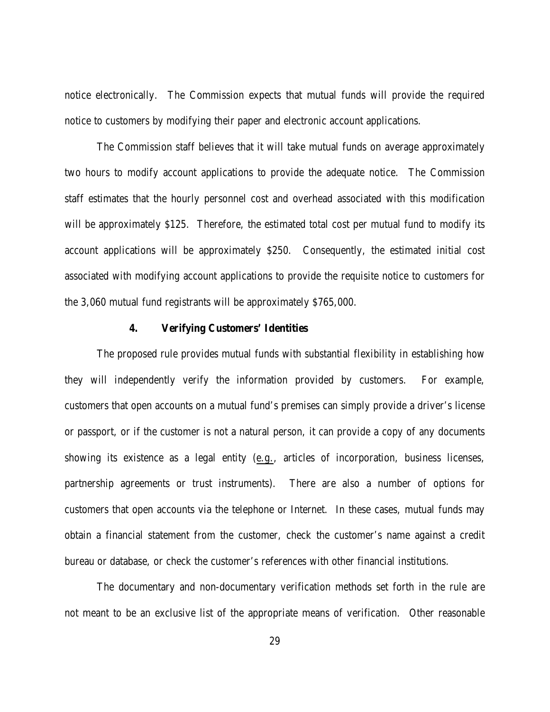notice electronically. The Commission expects that mutual funds will provide the required notice to customers by modifying their paper and electronic account applications.

The Commission staff believes that it will take mutual funds on average approximately two hours to modify account applications to provide the adequate notice. The Commission staff estimates that the hourly personnel cost and overhead associated with this modification will be approximately \$125. Therefore, the estimated total cost per mutual fund to modify its account applications will be approximately \$250. Consequently, the estimated initial cost associated with modifying account applications to provide the requisite notice to customers for the 3,060 mutual fund registrants will be approximately \$765,000.

#### **4. Verifying Customers' Identities**

The proposed rule provides mutual funds with substantial flexibility in establishing how they will independently verify the information provided by customers. For example, customers that open accounts on a mutual fund's premises can simply provide a driver's license or passport, or if the customer is not a natural person, it can provide a copy of any documents showing its existence as a legal entity (e.g., articles of incorporation, business licenses, partnership agreements or trust instruments). There are also a number of options for customers that open accounts via the telephone or Internet. In these cases, mutual funds may obtain a financial statement from the customer, check the customer's name against a credit bureau or database, or check the customer's references with other financial institutions.

The documentary and non-documentary verification methods set forth in the rule are not meant to be an exclusive list of the appropriate means of verification. Other reasonable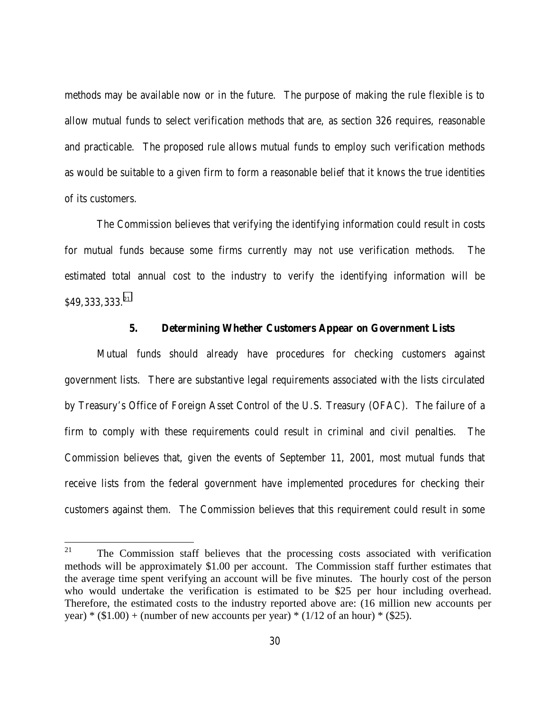methods may be available now or in the future. The purpose of making the rule flexible is to allow mutual funds to select verification methods that are, as section 326 requires, reasonable and practicable. The proposed rule allows mutual funds to employ such verification methods as would be suitable to a given firm to form a reasonable belief that it knows the true identities of its customers.

The Commission believes that verifying the identifying information could result in costs for mutual funds because some firms currently may not use verification methods. The estimated total annual cost to the industry to verify the identifying information will be \$49,333,333.<sup>21</sup>

## **5. Determining Whether Customers Appear on Government Lists**

Mutual funds should already have procedures for checking customers against government lists. There are substantive legal requirements associated with the lists circulated by Treasury's Office of Foreign Asset Control of the U.S. Treasury (OFAC). The failure of a firm to comply with these requirements could result in criminal and civil penalties. The Commission believes that, given the events of September 11, 2001, most mutual funds that receive lists from the federal government have implemented procedures for checking their customers against them. The Commission believes that this requirement could result in some

<sup>21</sup> The Commission staff believes that the processing costs associated with verification methods will be approximately \$1.00 per account. The Commission staff further estimates that the average time spent verifying an account will be five minutes. The hourly cost of the person who would undertake the verification is estimated to be \$25 per hour including overhead. Therefore, the estimated costs to the industry reported above are: (16 million new accounts per year) \* (\$1.00) + (number of new accounts per year) \* (1/12 of an hour) \* (\$25).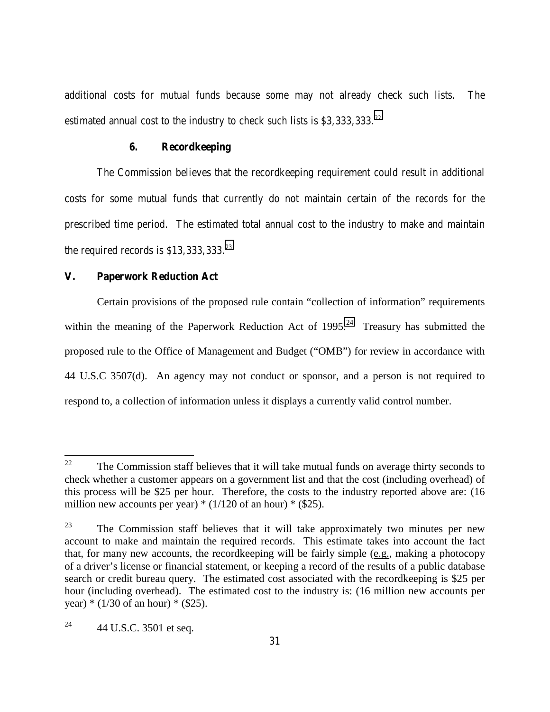additional costs for mutual funds because some may not already check such lists. The estimated annual cost to the industry to check such lists is \$3,333,333.<sup>22</sup>

## **6. Recordkeeping**

The Commission believes that the recordkeeping requirement could result in additional costs for some mutual funds that currently do not maintain certain of the records for the prescribed time period. The estimated total annual cost to the industry to make and maintain the required records is \$13,333,333.23

#### **V. Paperwork Reduction Act**

Certain provisions of the proposed rule contain "collection of information" requirements within the meaning of the Paperwork Reduction Act of  $1995.<sup>24</sup>$  Treasury has submitted the proposed rule to the Office of Management and Budget ("OMB") for review in accordance with 44 U.S.C 3507(d). An agency may not conduct or sponsor, and a person is not required to respond to, a collection of information unless it displays a currently valid control number.

<sup>22</sup> 22 The Commission staff believes that it will take mutual funds on average thirty seconds to check whether a customer appears on a government list and that the cost (including overhead) of this process will be \$25 per hour. Therefore, the costs to the industry reported above are: (16 million new accounts per year)  $*(1/120 \text{ of an hour}) * ($25)$ .

 $23$  The Commission staff believes that it will take approximately two minutes per new account to make and maintain the required records. This estimate takes into account the fact that, for many new accounts, the recordkeeping will be fairly simple (e.g., making a photocopy of a driver's license or financial statement, or keeping a record of the results of a public database search or credit bureau query. The estimated cost associated with the recordkeeping is \$25 per hour (including overhead). The estimated cost to the industry is: (16 million new accounts per year)  $*(1/30 \text{ of an hour}) * ($25)$ .

<sup>&</sup>lt;sup>24</sup> 44 U.S.C. 3501 et seq.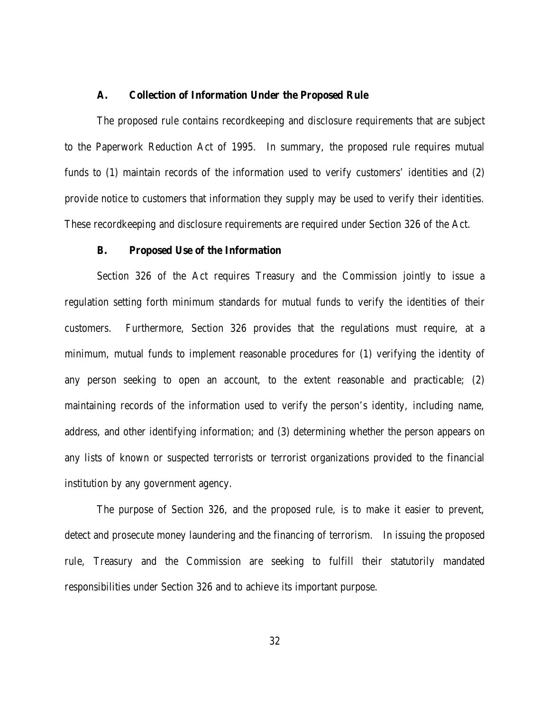#### **A. Collection of Information Under the Proposed Rule**

The proposed rule contains recordkeeping and disclosure requirements that are subject to the Paperwork Reduction Act of 1995. In summary, the proposed rule requires mutual funds to (1) maintain records of the information used to verify customers' identities and (2) provide notice to customers that information they supply may be used to verify their identities. These recordkeeping and disclosure requirements are required under Section 326 of the Act.

#### **B. Proposed Use of the Information**

Section 326 of the Act requires Treasury and the Commission jointly to issue a regulation setting forth minimum standards for mutual funds to verify the identities of their customers. Furthermore, Section 326 provides that the regulations must require, at a minimum, mutual funds to implement reasonable procedures for (1) verifying the identity of any person seeking to open an account, to the extent reasonable and practicable; (2) maintaining records of the information used to verify the person's identity, including name, address, and other identifying information; and (3) determining whether the person appears on any lists of known or suspected terrorists or terrorist organizations provided to the financial institution by any government agency.

The purpose of Section 326, and the proposed rule, is to make it easier to prevent, detect and prosecute money laundering and the financing of terrorism. In issuing the proposed rule, Treasury and the Commission are seeking to fulfill their statutorily mandated responsibilities under Section 326 and to achieve its important purpose.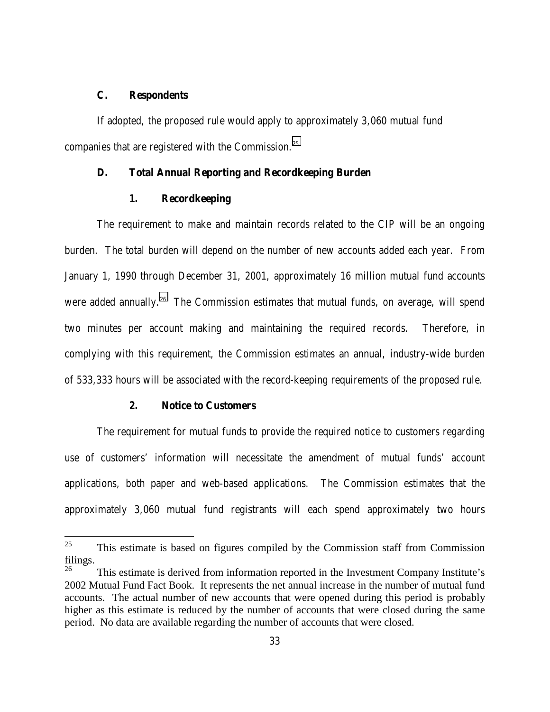# **C. Respondents**

If adopted, the proposed rule would apply to approximately 3,060 mutual fund companies that are registered with the Commission.25

## **D. Total Annual Reporting and Recordkeeping Burden**

## **1. Recordkeeping**

The requirement to make and maintain records related to the CIP will be an ongoing burden. The total burden will depend on the number of new accounts added each year. From January 1, 1990 through December 31, 2001, approximately 16 million mutual fund accounts were added annually.<sup>26</sup> The Commission estimates that mutual funds, on average, will spend two minutes per account making and maintaining the required records. Therefore, in complying with this requirement, the Commission estimates an annual, industry-wide burden of 533,333 hours will be associated with the record-keeping requirements of the proposed rule.

# **2. Notice to Customers**

The requirement for mutual funds to provide the required notice to customers regarding use of customers' information will necessitate the amendment of mutual funds' account applications, both paper and web-based applications. The Commission estimates that the approximately 3,060 mutual fund registrants will each spend approximately two hours

<sup>25</sup> 25 This estimate is based on figures compiled by the Commission staff from Commission filings.

This estimate is derived from information reported in the Investment Company Institute's 2002 Mutual Fund Fact Book. It represents the net annual increase in the number of mutual fund accounts. The actual number of new accounts that were opened during this period is probably higher as this estimate is reduced by the number of accounts that were closed during the same period. No data are available regarding the number of accounts that were closed.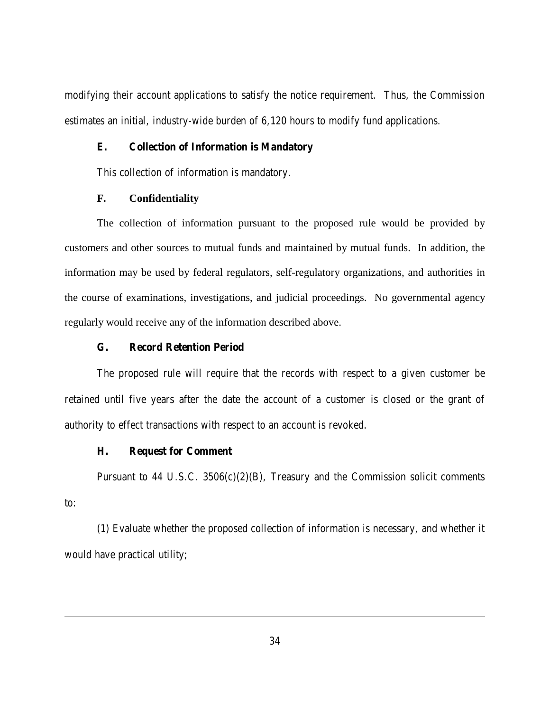modifying their account applications to satisfy the notice requirement. Thus, the Commission estimates an initial, industry-wide burden of 6,120 hours to modify fund applications.

## **E. Collection of Information is Mandatory**

This collection of information is mandatory.

# **F. Confidentiality**

The collection of information pursuant to the proposed rule would be provided by customers and other sources to mutual funds and maintained by mutual funds. In addition, the information may be used by federal regulators, self-regulatory organizations, and authorities in the course of examinations, investigations, and judicial proceedings. No governmental agency regularly would receive any of the information described above.

# **G. Record Retention Period**

The proposed rule will require that the records with respect to a given customer be retained until five years after the date the account of a customer is closed or the grant of authority to effect transactions with respect to an account is revoked.

## **H. Request for Comment**

l

Pursuant to 44 U.S.C.  $3506(c)(2)(B)$ , Treasury and the Commission solicit comments to:

(1) Evaluate whether the proposed collection of information is necessary, and whether it would have practical utility;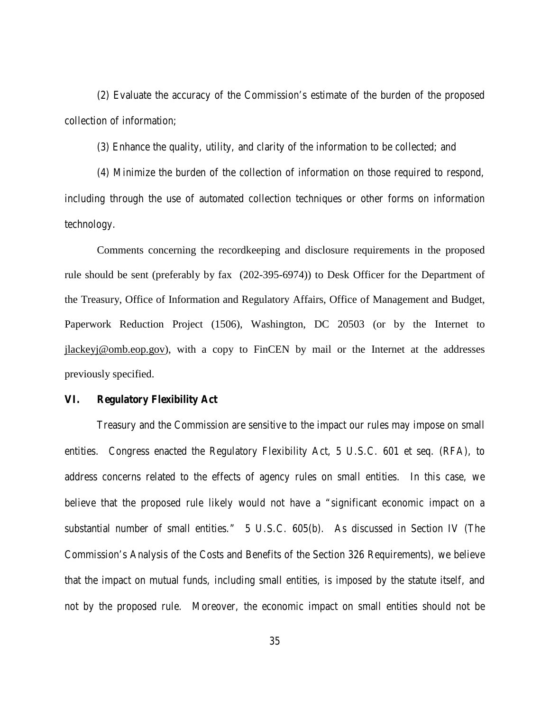(2) Evaluate the accuracy of the Commission's estimate of the burden of the proposed collection of information;

(3) Enhance the quality, utility, and clarity of the information to be collected; and

(4) Minimize the burden of the collection of information on those required to respond, including through the use of automated collection techniques or other forms on information technology.

Comments concerning the recordkeeping and disclosure requirements in the proposed rule should be sent (preferably by fax (202-395-6974)) to Desk Officer for the Department of the Treasury, Office of Information and Regulatory Affairs, Office of Management and Budget, Paperwork Reduction Project (1506), Washington, DC 20503 (or by the Internet to jlackeyj@omb.eop.gov), with a copy to FinCEN by mail or the Internet at the addresses previously specified.

#### **VI. Regulatory Flexibility Act**

Treasury and the Commission are sensitive to the impact our rules may impose on small entities. Congress enacted the Regulatory Flexibility Act, 5 U.S.C. 601 et seq. (RFA), to address concerns related to the effects of agency rules on small entities. In this case, we believe that the proposed rule likely would not have a "significant economic impact on a substantial number of small entities." 5 U.S.C. 605(b). As discussed in Section IV (The Commission's Analysis of the Costs and Benefits of the Section 326 Requirements), we believe that the impact on mutual funds, including small entities, is imposed by the statute itself, and not by the proposed rule. Moreover, the economic impact on small entities should not be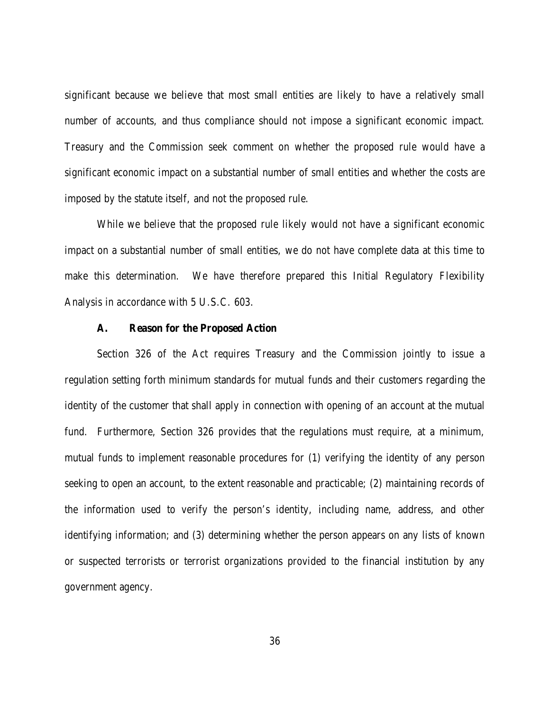significant because we believe that most small entities are likely to have a relatively small number of accounts, and thus compliance should not impose a significant economic impact. Treasury and the Commission seek comment on whether the proposed rule would have a significant economic impact on a substantial number of small entities and whether the costs are imposed by the statute itself, and not the proposed rule.

While we believe that the proposed rule likely would not have a significant economic impact on a substantial number of small entities, we do not have complete data at this time to make this determination. We have therefore prepared this Initial Regulatory Flexibility Analysis in accordance with 5 U.S.C. 603.

#### **A. Reason for the Proposed Action**

Section 326 of the Act requires Treasury and the Commission jointly to issue a regulation setting forth minimum standards for mutual funds and their customers regarding the identity of the customer that shall apply in connection with opening of an account at the mutual fund. Furthermore, Section 326 provides that the regulations must require, at a minimum, mutual funds to implement reasonable procedures for (1) verifying the identity of any person seeking to open an account, to the extent reasonable and practicable; (2) maintaining records of the information used to verify the person's identity, including name, address, and other identifying information; and (3) determining whether the person appears on any lists of known or suspected terrorists or terrorist organizations provided to the financial institution by any government agency.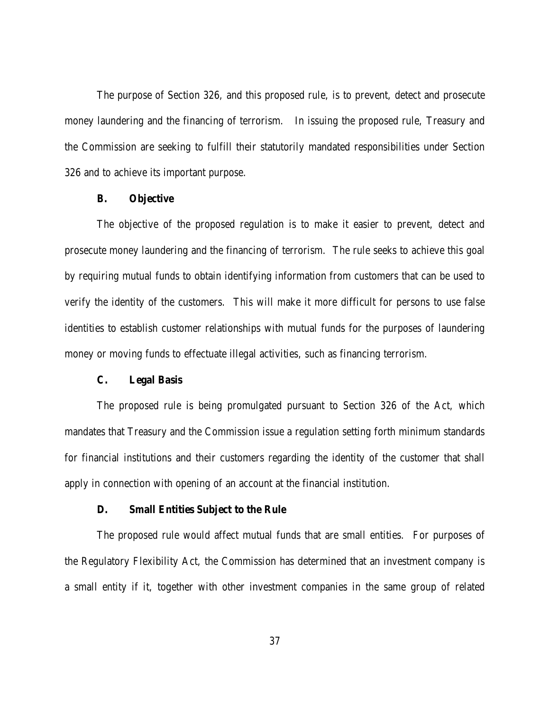The purpose of Section 326, and this proposed rule, is to prevent, detect and prosecute money laundering and the financing of terrorism. In issuing the proposed rule, Treasury and the Commission are seeking to fulfill their statutorily mandated responsibilities under Section 326 and to achieve its important purpose.

## **B. Objective**

The objective of the proposed regulation is to make it easier to prevent, detect and prosecute money laundering and the financing of terrorism. The rule seeks to achieve this goal by requiring mutual funds to obtain identifying information from customers that can be used to verify the identity of the customers. This will make it more difficult for persons to use false identities to establish customer relationships with mutual funds for the purposes of laundering money or moving funds to effectuate illegal activities, such as financing terrorism.

#### **C. Legal Basis**

The proposed rule is being promulgated pursuant to Section 326 of the Act, which mandates that Treasury and the Commission issue a regulation setting forth minimum standards for financial institutions and their customers regarding the identity of the customer that shall apply in connection with opening of an account at the financial institution.

## **D. Small Entities Subject to the Rule**

The proposed rule would affect mutual funds that are small entities. For purposes of the Regulatory Flexibility Act, the Commission has determined that an investment company is a small entity if it, together with other investment companies in the same group of related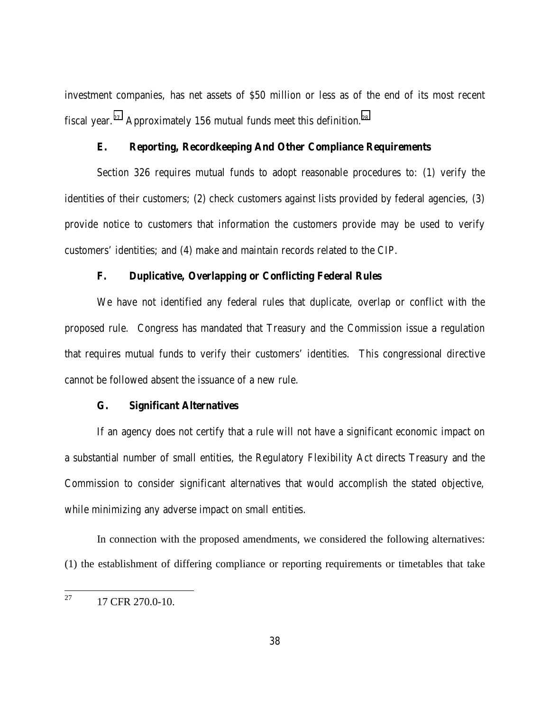investment companies, has net assets of \$50 million or less as of the end of its most recent fiscal year.<sup>27</sup> Approximately 156 mutual funds meet this definition.<sup>28</sup>

# **E. Reporting, Recordkeeping And Other Compliance Requirements**

Section 326 requires mutual funds to adopt reasonable procedures to: (1) verify the identities of their customers; (2) check customers against lists provided by federal agencies, (3) provide notice to customers that information the customers provide may be used to verify customers' identities; and (4) make and maintain records related to the CIP.

## **F. Duplicative, Overlapping or Conflicting Federal Rules**

We have not identified any federal rules that duplicate, overlap or conflict with the proposed rule. Congress has mandated that Treasury and the Commission issue a regulation that requires mutual funds to verify their customers' identities. This congressional directive cannot be followed absent the issuance of a new rule.

# **G. Significant Alternatives**

If an agency does not certify that a rule will not have a significant economic impact on a substantial number of small entities, the Regulatory Flexibility Act directs Treasury and the Commission to consider significant alternatives that would accomplish the stated objective, while minimizing any adverse impact on small entities.

In connection with the proposed amendments, we considered the following alternatives: (1) the establishment of differing compliance or reporting requirements or timetables that take

 $27\,$ 27 17 CFR 270.0-10.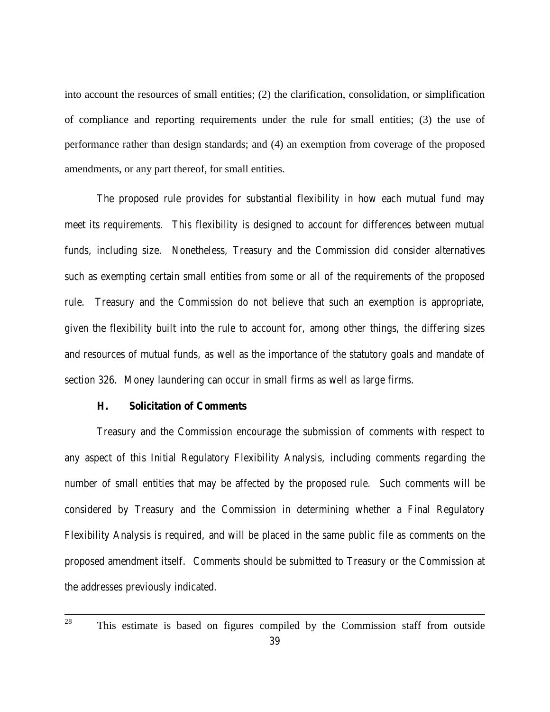into account the resources of small entities; (2) the clarification, consolidation, or simplification of compliance and reporting requirements under the rule for small entities; (3) the use of performance rather than design standards; and (4) an exemption from coverage of the proposed amendments, or any part thereof, for small entities.

The proposed rule provides for substantial flexibility in how each mutual fund may meet its requirements. This flexibility is designed to account for differences between mutual funds, including size. Nonetheless, Treasury and the Commission did consider alternatives such as exempting certain small entities from some or all of the requirements of the proposed rule. Treasury and the Commission do not believe that such an exemption is appropriate, given the flexibility built into the rule to account for, among other things, the differing sizes and resources of mutual funds, as well as the importance of the statutory goals and mandate of section 326. Money laundering can occur in small firms as well as large firms.

# **H. Solicitation of Comments**

Treasury and the Commission encourage the submission of comments with respect to any aspect of this Initial Regulatory Flexibility Analysis, including comments regarding the number of small entities that may be affected by the proposed rule. Such comments will be considered by Treasury and the Commission in determining whether a Final Regulatory Flexibility Analysis is required, and will be placed in the same public file as comments on the proposed amendment itself. Comments should be submitted to Treasury or the Commission at the addresses previously indicated.

<sup>&</sup>lt;sup>28</sup> This estimate is based on figures compiled by the Commission staff from outside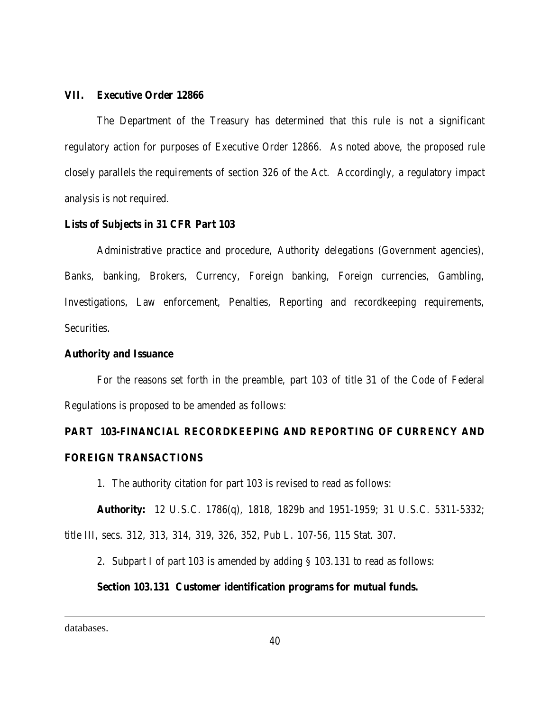## **VII. Executive Order 12866**

The Department of the Treasury has determined that this rule is not a significant regulatory action for purposes of Executive Order 12866. As noted above, the proposed rule closely parallels the requirements of section 326 of the Act. Accordingly, a regulatory impact analysis is not required.

# **Lists of Subjects in 31 CFR Part 103**

Administrative practice and procedure, Authority delegations (Government agencies), Banks, banking, Brokers, Currency, Foreign banking, Foreign currencies, Gambling, Investigations, Law enforcement, Penalties, Reporting and recordkeeping requirements, Securities.

## **Authority and Issuance**

For the reasons set forth in the preamble, part 103 of title 31 of the Code of Federal Regulations is proposed to be amended as follows:

# **PART 103-FINANCIAL RECORDKEEPING AND REPORTING OF CURRENCY AND FOREIGN TRANSACTIONS**

1. The authority citation for part 103 is revised to read as follows:

**Authority:** 12 U.S.C. 1786(q), 1818, 1829b and 1951-1959; 31 U.S.C. 5311-5332; title III, secs. 312, 313, 314, 319, 326, 352, Pub L. 107-56, 115 Stat. 307.

2. Subpart I of part 103 is amended by adding § 103.131 to read as follows:

#### **Section 103.131 Customer identification programs for mutual funds.**

databases.

l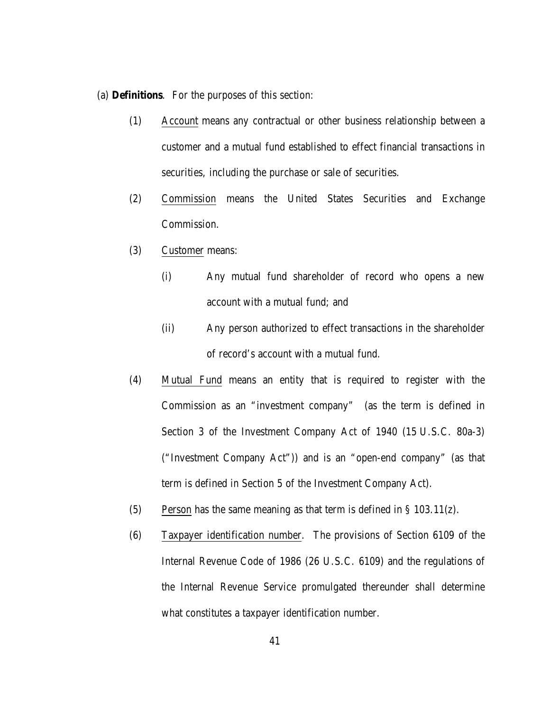(a) **Definitions**. For the purposes of this section:

- (1) Account means any contractual or other business relationship between a customer and a mutual fund established to effect financial transactions in securities, including the purchase or sale of securities.
- (2) Commission means the United States Securities and Exchange Commission.
- (3) Customer means:
	- (i) Any mutual fund shareholder of record who opens a new account with a mutual fund; and
	- (ii) Any person authorized to effect transactions in the shareholder of record's account with a mutual fund.
- (4) Mutual Fund means an entity that is required to register with the Commission as an "investment company" (as the term is defined in Section 3 of the Investment Company Act of 1940 (15 U.S.C. 80a-3) ("Investment Company Act")) and is an "open-end company" (as that term is defined in Section 5 of the Investment Company Act).
- (5) Person has the same meaning as that term is defined in § 103.11(z).
- (6) Taxpayer identification number. The provisions of Section 6109 of the Internal Revenue Code of 1986 (26 U.S.C. 6109) and the regulations of the Internal Revenue Service promulgated thereunder shall determine what constitutes a taxpayer identification number.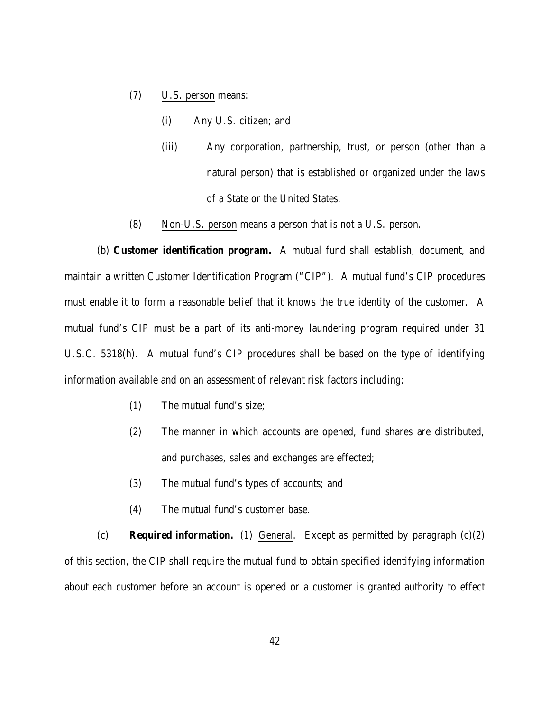- (7) U.S. person means:
	- (i) Any U.S. citizen; and
	- (iii) Any corporation, partnership, trust, or person (other than a natural person) that is established or organized under the laws of a State or the United States.
- (8) Non-U.S. person means a person that is not a U.S. person.

(b) **Customer identification program.** A mutual fund shall establish, document, and maintain a written Customer Identification Program ("CIP"). A mutual fund's CIP procedures must enable it to form a reasonable belief that it knows the true identity of the customer. A mutual fund's CIP must be a part of its anti-money laundering program required under 31 U.S.C. 5318(h). A mutual fund's CIP procedures shall be based on the type of identifying information available and on an assessment of relevant risk factors including:

- (1) The mutual fund's size;
- (2) The manner in which accounts are opened, fund shares are distributed, and purchases, sales and exchanges are effected;
- (3) The mutual fund's types of accounts; and
- (4) The mutual fund's customer base.

(c) **Required information.** (1) General. Except as permitted by paragraph (c)(2) of this section, the CIP shall require the mutual fund to obtain specified identifying information about each customer before an account is opened or a customer is granted authority to effect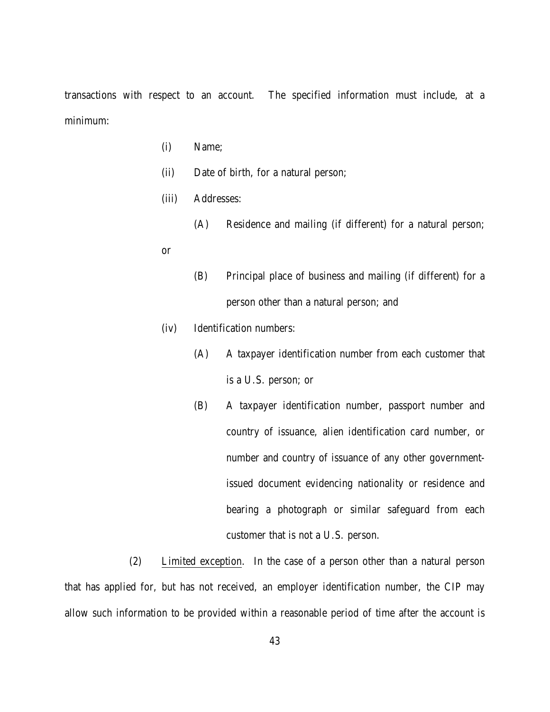transactions with respect to an account. The specified information must include, at a minimum:

- (i) Name;
- (ii) Date of birth, for a natural person;
- (iii) Addresses:
	- (A) Residence and mailing (if different) for a natural person;
- or
- (B) Principal place of business and mailing (if different) for a person other than a natural person; and
- (iv) Identification numbers:
	- (A) A taxpayer identification number from each customer that is a U.S. person; or
	- (B) A taxpayer identification number, passport number and country of issuance, alien identification card number, or number and country of issuance of any other governmentissued document evidencing nationality or residence and bearing a photograph or similar safeguard from each customer that is not a U.S. person.

(2) Limited exception. In the case of a person other than a natural person that has applied for, but has not received, an employer identification number, the CIP may allow such information to be provided within a reasonable period of time after the account is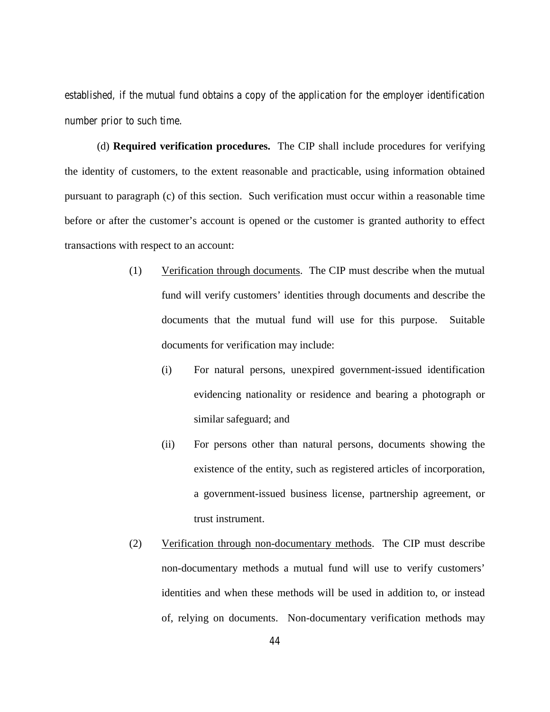established, if the mutual fund obtains a copy of the application for the employer identification number prior to such time.

(d) **Required verification procedures.** The CIP shall include procedures for verifying the identity of customers, to the extent reasonable and practicable, using information obtained pursuant to paragraph (c) of this section. Such verification must occur within a reasonable time before or after the customer's account is opened or the customer is granted authority to effect transactions with respect to an account:

- (1) Verification through documents. The CIP must describe when the mutual fund will verify customers' identities through documents and describe the documents that the mutual fund will use for this purpose. Suitable documents for verification may include:
	- (i) For natural persons, unexpired government-issued identification evidencing nationality or residence and bearing a photograph or similar safeguard; and
	- (ii) For persons other than natural persons, documents showing the existence of the entity, such as registered articles of incorporation, a government-issued business license, partnership agreement, or trust instrument.
- (2) Verification through non-documentary methods. The CIP must describe non-documentary methods a mutual fund will use to verify customers' identities and when these methods will be used in addition to, or instead of, relying on documents. Non-documentary verification methods may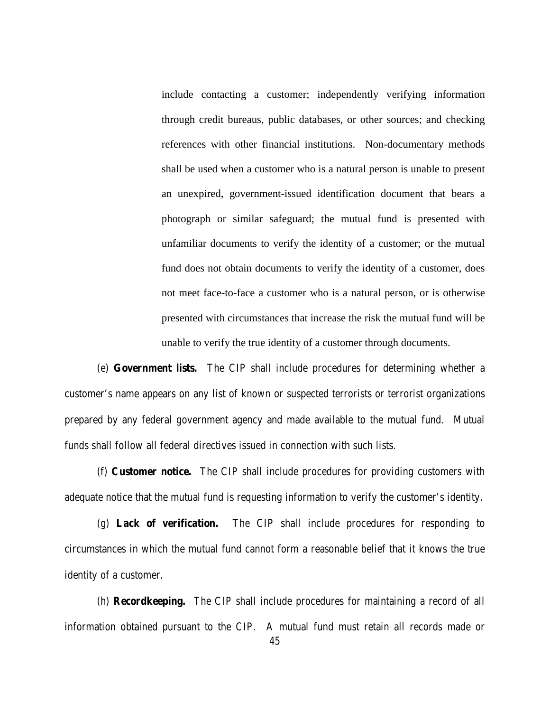include contacting a customer; independently verifying information through credit bureaus, public databases, or other sources; and checking references with other financial institutions. Non-documentary methods shall be used when a customer who is a natural person is unable to present an unexpired, government-issued identification document that bears a photograph or similar safeguard; the mutual fund is presented with unfamiliar documents to verify the identity of a customer; or the mutual fund does not obtain documents to verify the identity of a customer, does not meet face-to-face a customer who is a natural person, or is otherwise presented with circumstances that increase the risk the mutual fund will be unable to verify the true identity of a customer through documents.

(e) **Government lists.** The CIP shall include procedures for determining whether a customer's name appears on any list of known or suspected terrorists or terrorist organizations prepared by any federal government agency and made available to the mutual fund. Mutual funds shall follow all federal directives issued in connection with such lists.

(f) **Customer notice.** The CIP shall include procedures for providing customers with adequate notice that the mutual fund is requesting information to verify the customer's identity.

(g) **Lack of verification.** The CIP shall include procedures for responding to circumstances in which the mutual fund cannot form a reasonable belief that it knows the true identity of a customer.

(h) **Recordkeeping.** The CIP shall include procedures for maintaining a record of all information obtained pursuant to the CIP. A mutual fund must retain all records made or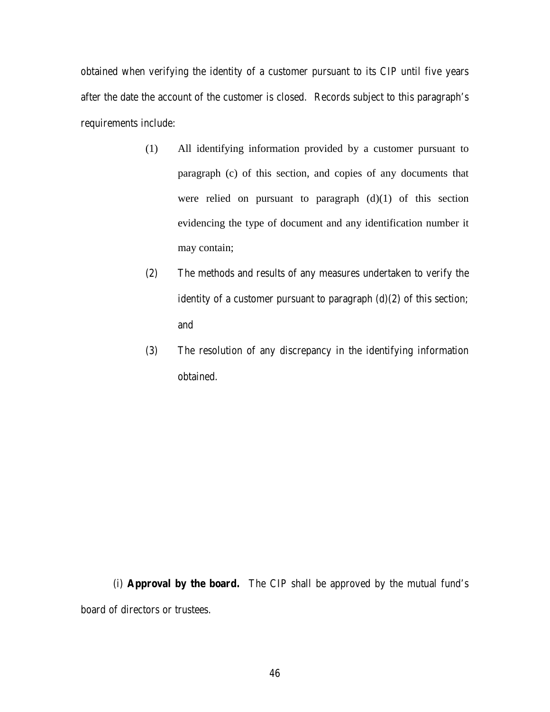obtained when verifying the identity of a customer pursuant to its CIP until five years after the date the account of the customer is closed. Records subject to this paragraph's requirements include:

- (1) All identifying information provided by a customer pursuant to paragraph (c) of this section, and copies of any documents that were relied on pursuant to paragraph  $(d)(1)$  of this section evidencing the type of document and any identification number it may contain;
- (2) The methods and results of any measures undertaken to verify the identity of a customer pursuant to paragraph  $(d)(2)$  of this section; and
- (3) The resolution of any discrepancy in the identifying information obtained.

(i) **Approval by the board.** The CIP shall be approved by the mutual fund's board of directors or trustees.